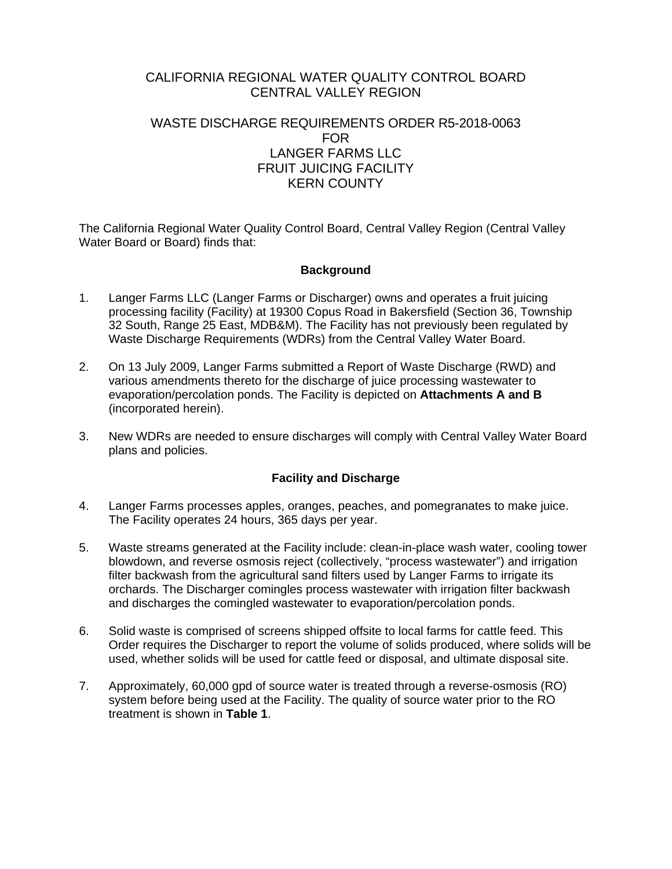# CALIFORNIA REGIONAL WATER QUALITY CONTROL BOARD CENTRAL VALLEY REGION

# WASTE DISCHARGE REQUIREMENTS ORDER R5-2018-0063 FOR LANGER FARMS LLC FRUIT JUICING FACILITY KERN COUNTY

The California Regional Water Quality Control Board, Central Valley Region (Central Valley Water Board or Board) finds that:

## **Background**

- 1. Langer Farms LLC (Langer Farms or Discharger) owns and operates a fruit juicing processing facility (Facility) at 19300 Copus Road in Bakersfield (Section 36, Township 32 South, Range 25 East, MDB&M). The Facility has not previously been regulated by Waste Discharge Requirements (WDRs) from the Central Valley Water Board.
- 2. On 13 July 2009, Langer Farms submitted a Report of Waste Discharge (RWD) and various amendments thereto for the discharge of juice processing wastewater to evaporation/percolation ponds. The Facility is depicted on **Attachments A and B** (incorporated herein).
- 3. New WDRs are needed to ensure discharges will comply with Central Valley Water Board plans and policies.

## **Facility and Discharge**

- 4. Langer Farms processes apples, oranges, peaches, and pomegranates to make juice. The Facility operates 24 hours, 365 days per year.
- 5. Waste streams generated at the Facility include: clean-in-place wash water, cooling tower blowdown, and reverse osmosis reject (collectively, "process wastewater") and irrigation filter backwash from the agricultural sand filters used by Langer Farms to irrigate its orchards. The Discharger comingles process wastewater with irrigation filter backwash and discharges the comingled wastewater to evaporation/percolation ponds.
- 6. Solid waste is comprised of screens shipped offsite to local farms for cattle feed. This Order requires the Discharger to report the volume of solids produced, where solids will be used, whether solids will be used for cattle feed or disposal, and ultimate disposal site.
- 7. Approximately, 60,000 gpd of source water is treated through a reverse-osmosis (RO) system before being used at the Facility. The quality of source water prior to the RO treatment is shown in **Table 1**.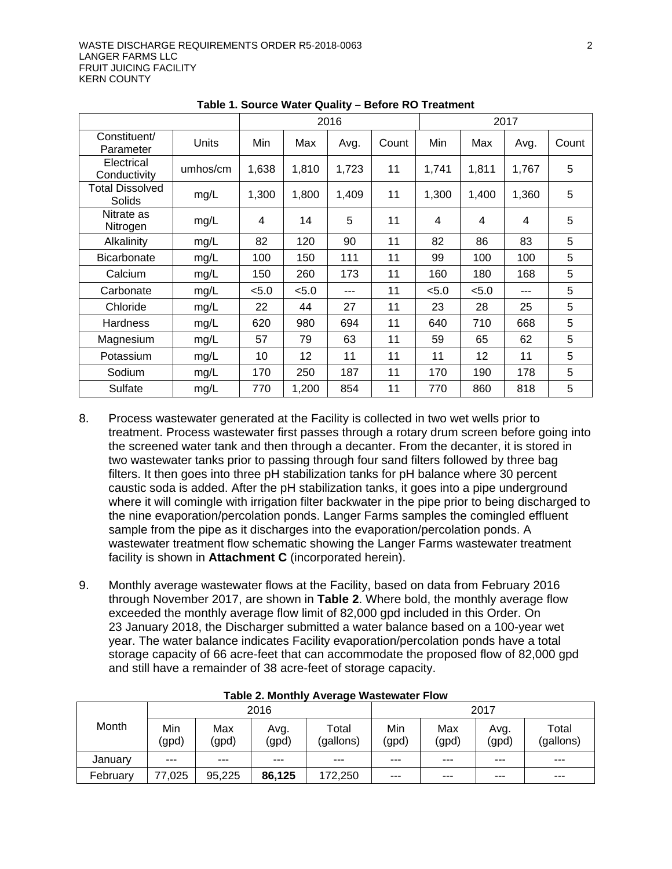|                                  |          |       | 2016  |       |       |       |                         | 2017  |       |
|----------------------------------|----------|-------|-------|-------|-------|-------|-------------------------|-------|-------|
| Constituent/<br>Parameter        | Units    | Min   | Max   | Avg.  | Count | Min   | Max                     | Avg.  | Count |
| Electrical<br>Conductivity       | umhos/cm | 1,638 | 1,810 | 1,723 | 11    | 1,741 | 1,811                   | 1,767 | 5     |
| <b>Total Dissolved</b><br>Solids | mg/L     | 1,300 | 1,800 | 1,409 | 11    | 1,300 | 1,400                   | 1,360 | 5     |
| Nitrate as<br>Nitrogen           | mg/L     | 4     | 14    | 5     | 11    | 4     | $\overline{\mathbf{4}}$ | 4     | 5     |
| Alkalinity                       | mg/L     | 82    | 120   | 90    | 11    | 82    | 86                      | 83    | 5     |
| Bicarbonate                      | mg/L     | 100   | 150   | 111   | 11    | 99    | 100                     | 100   | 5     |
| Calcium                          | mg/L     | 150   | 260   | 173   | 11    | 160   | 180                     | 168   | 5     |
| Carbonate                        | mg/L     | < 5.0 | < 5.0 | ---   | 11    | < 5.0 | < 5.0                   | ---   | 5     |
| Chloride                         | mg/L     | 22    | 44    | 27    | 11    | 23    | 28                      | 25    | 5     |
| <b>Hardness</b>                  | mg/L     | 620   | 980   | 694   | 11    | 640   | 710                     | 668   | 5     |
| Magnesium                        | mg/L     | 57    | 79    | 63    | 11    | 59    | 65                      | 62    | 5     |
| Potassium                        | mg/L     | 10    | 12    | 11    | 11    | 11    | 12                      | 11    | 5     |
| Sodium                           | mg/L     | 170   | 250   | 187   | 11    | 170   | 190                     | 178   | 5     |
| Sulfate                          | mg/L     | 770   | 1,200 | 854   | 11    | 770   | 860                     | 818   | 5     |

**Table 1. Source Water Quality – Before RO Treatment**

- 8. Process wastewater generated at the Facility is collected in two wet wells prior to treatment. Process wastewater first passes through a rotary drum screen before going into the screened water tank and then through a decanter. From the decanter, it is stored in two wastewater tanks prior to passing through four sand filters followed by three bag filters. It then goes into three pH stabilization tanks for pH balance where 30 percent caustic soda is added. After the pH stabilization tanks, it goes into a pipe underground where it will comingle with irrigation filter backwater in the pipe prior to being discharged to the nine evaporation/percolation ponds. Langer Farms samples the comingled effluent sample from the pipe as it discharges into the evaporation/percolation ponds. A wastewater treatment flow schematic showing the Langer Farms wastewater treatment facility is shown in **Attachment C** (incorporated herein).
- 9. Monthly average wastewater flows at the Facility, based on data from February 2016 through November 2017, are shown in **Table 2**. Where bold, the monthly average flow exceeded the monthly average flow limit of 82,000 gpd included in this Order. On 23 January 2018, the Discharger submitted a water balance based on a 100-year wet year. The water balance indicates Facility evaporation/percolation ponds have a total storage capacity of 66 acre-feet that can accommodate the proposed flow of 82,000 gpd and still have a remainder of 38 acre-feet of storage capacity.

|          |              |              | 2016          |                    | 2017         |              |               |                    |  |  |  |
|----------|--------------|--------------|---------------|--------------------|--------------|--------------|---------------|--------------------|--|--|--|
| Month    | Min<br>(gpd) | Max<br>(gpd) | Avg.<br>(gpd) | Total<br>(gallons) | Min<br>(gpd) | Max<br>(gpd) | Avg.<br>(gpd) | Total<br>(gallons) |  |  |  |
| January  | $- - -$      | $- - -$      | ---           | $--$               | $- - -$      | $- - -$      | $- - -$       | $- - -$            |  |  |  |
| February | 77,025       | 95,225       | 86,125        | 172,250            | $---$        | $- - -$      | $- - -$       | $- - -$            |  |  |  |

**Table 2. Monthly Average Wastewater Flow**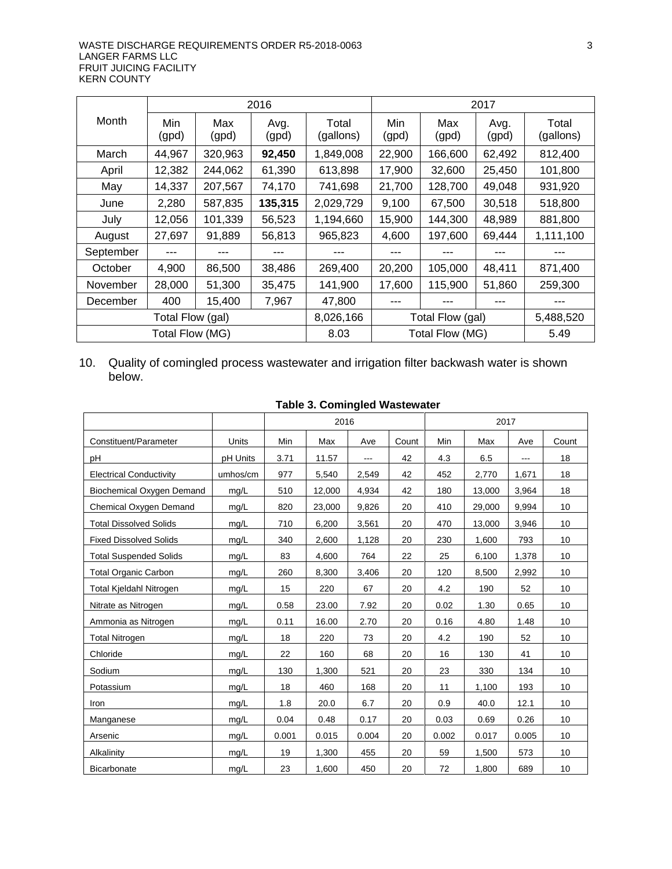|                  |              |              | 2016          |                    | 2017             |              |               |                    |  |
|------------------|--------------|--------------|---------------|--------------------|------------------|--------------|---------------|--------------------|--|
| Month            | Min<br>(gpd) | Max<br>(gpd) | Avg.<br>(gpd) | Total<br>(gallons) | Min<br>(gpd)     | Max<br>(gpd) | Avg.<br>(gpd) | Total<br>(gallons) |  |
| March            | 44,967       | 320,963      | 92,450        | 1,849,008          | 22,900           | 166,600      | 62,492        | 812,400            |  |
| April            | 12,382       | 244,062      | 61,390        | 613,898            | 17,900           | 32,600       | 25,450        | 101,800            |  |
| May              | 14,337       | 207,567      | 74,170        | 741,698            | 21,700           | 128,700      | 49,048        | 931,920            |  |
| June             | 2,280        | 587,835      | 135,315       | 2,029,729          | 9,100            | 67,500       | 30,518        | 518,800            |  |
| July             | 12,056       | 101,339      | 56,523        | 1,194,660          | 15,900           | 144,300      | 48,989        | 881,800            |  |
| August           | 27,697       | 91,889       | 56,813        | 965,823            | 4.600            | 197,600      | 69,444        | 1,111,100          |  |
| September        |              | ---          | ---           |                    |                  |              |               |                    |  |
| October          | 4,900        | 86,500       | 38,486        | 269,400            | 20,200           | 105,000      | 48,411        | 871,400            |  |
| November         | 28,000       | 51,300       | 35,475        | 141,900            | 17,600           | 115,900      | 51,860        | 259,300            |  |
| December         | 400          | 15,400       | 7,967         | 47,800             |                  |              |               |                    |  |
| Total Flow (gal) |              |              | 8,026,166     |                    | Total Flow (gal) |              | 5,488,520     |                    |  |
| Total Flow (MG)  |              |              | 8.03          | Total Flow (MG)    |                  |              | 5.49          |                    |  |

10. Quality of comingled process wastewater and irrigation filter backwash water is shown below.

|                                |              |       | 2016   |       |       | 2017  |        |       |       |
|--------------------------------|--------------|-------|--------|-------|-------|-------|--------|-------|-------|
| Constituent/Parameter          | <b>Units</b> | Min   | Max    | Ave   | Count | Min   | Max    | Ave   | Count |
| рH                             | pH Units     | 3.71  | 11.57  | $---$ | 42    | 4.3   | 6.5    | ---   | 18    |
| <b>Electrical Conductivity</b> | umhos/cm     | 977   | 5,540  | 2,549 | 42    | 452   | 2,770  | 1,671 | 18    |
| Biochemical Oxygen Demand      | mg/L         | 510   | 12,000 | 4,934 | 42    | 180   | 13,000 | 3,964 | 18    |
| Chemical Oxygen Demand         | mg/L         | 820   | 23,000 | 9,826 | 20    | 410   | 29,000 | 9,994 | 10    |
| <b>Total Dissolved Solids</b>  | mg/L         | 710   | 6,200  | 3,561 | 20    | 470   | 13,000 | 3,946 | 10    |
| <b>Fixed Dissolved Solids</b>  | mg/L         | 340   | 2,600  | 1,128 | 20    | 230   | 1,600  | 793   | 10    |
| <b>Total Suspended Solids</b>  | mg/L         | 83    | 4,600  | 764   | 22    | 25    | 6,100  | 1,378 | 10    |
| <b>Total Organic Carbon</b>    | mg/L         | 260   | 8,300  | 3,406 | 20    | 120   | 8,500  | 2,992 | 10    |
| Total Kjeldahl Nitrogen        | mg/L         | 15    | 220    | 67    | 20    | 4.2   | 190    | 52    | 10    |
| Nitrate as Nitrogen            | mg/L         | 0.58  | 23.00  | 7.92  | 20    | 0.02  | 1.30   | 0.65  | 10    |
| Ammonia as Nitrogen            | mq/L         | 0.11  | 16.00  | 2.70  | 20    | 0.16  | 4.80   | 1.48  | 10    |
| <b>Total Nitrogen</b>          | mg/L         | 18    | 220    | 73    | 20    | 4.2   | 190    | 52    | 10    |
| Chloride                       | mg/L         | 22    | 160    | 68    | 20    | 16    | 130    | 41    | 10    |
| Sodium                         | mg/L         | 130   | 1,300  | 521   | 20    | 23    | 330    | 134   | 10    |
| Potassium                      | mg/L         | 18    | 460    | 168   | 20    | 11    | 1,100  | 193   | 10    |
| Iron                           | mg/L         | 1.8   | 20.0   | 6.7   | 20    | 0.9   | 40.0   | 12.1  | 10    |
| Manganese                      | mg/L         | 0.04  | 0.48   | 0.17  | 20    | 0.03  | 0.69   | 0.26  | 10    |
| Arsenic                        | mg/L         | 0.001 | 0.015  | 0.004 | 20    | 0.002 | 0.017  | 0.005 | 10    |
| Alkalinity                     | mq/L         | 19    | 1,300  | 455   | 20    | 59    | 1,500  | 573   | 10    |
| <b>Bicarbonate</b>             | mq/L         | 23    | 1,600  | 450   | 20    | 72    | 1,800  | 689   | 10    |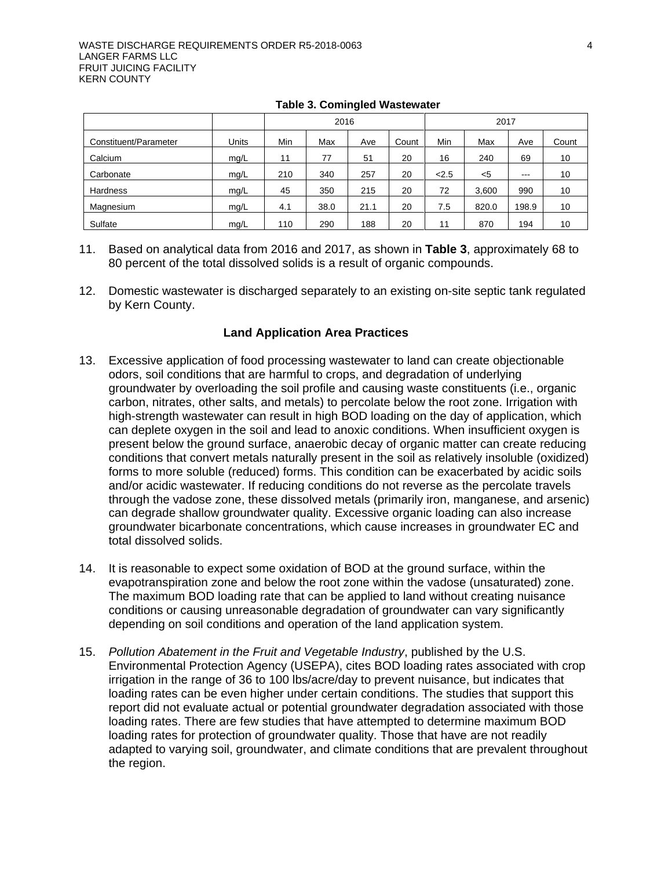|                       |       | 2016 |      |      | 2017  |       |       |         |       |
|-----------------------|-------|------|------|------|-------|-------|-------|---------|-------|
| Constituent/Parameter | Units | Min  | Max  | Ave  | Count | Min   | Max   | Ave     | Count |
| Calcium               | mg/L  | 11   | 77   | 51   | 20    | 16    | 240   | 69      | 10    |
| Carbonate             | mq/L  | 210  | 340  | 257  | 20    | < 2.5 | $5$   | $- - -$ | 10    |
| Hardness              | mg/L  | 45   | 350  | 215  | 20    | 72    | 3,600 | 990     | 10    |
| Magnesium             | mq/L  | 4.1  | 38.0 | 21.1 | 20    | 7.5   | 820.0 | 198.9   | 10    |
| Sulfate               | mq/L  | 110  | 290  | 188  | 20    | 11    | 870   | 194     | 10    |

|  |  | <b>Table 3. Comingled Wastewater</b> |
|--|--|--------------------------------------|
|--|--|--------------------------------------|

- 11. Based on analytical data from 2016 and 2017, as shown in **Table 3**, approximately 68 to 80 percent of the total dissolved solids is a result of organic compounds.
- 12. Domestic wastewater is discharged separately to an existing on-site septic tank regulated by Kern County.

# **Land Application Area Practices**

- 13. Excessive application of food processing wastewater to land can create objectionable odors, soil conditions that are harmful to crops, and degradation of underlying groundwater by overloading the soil profile and causing waste constituents (i.e., organic carbon, nitrates, other salts, and metals) to percolate below the root zone. Irrigation with high-strength wastewater can result in high BOD loading on the day of application, which can deplete oxygen in the soil and lead to anoxic conditions. When insufficient oxygen is present below the ground surface, anaerobic decay of organic matter can create reducing conditions that convert metals naturally present in the soil as relatively insoluble (oxidized) forms to more soluble (reduced) forms. This condition can be exacerbated by acidic soils and/or acidic wastewater. If reducing conditions do not reverse as the percolate travels through the vadose zone, these dissolved metals (primarily iron, manganese, and arsenic) can degrade shallow groundwater quality. Excessive organic loading can also increase groundwater bicarbonate concentrations, which cause increases in groundwater EC and total dissolved solids.
- 14. It is reasonable to expect some oxidation of BOD at the ground surface, within the evapotranspiration zone and below the root zone within the vadose (unsaturated) zone. The maximum BOD loading rate that can be applied to land without creating nuisance conditions or causing unreasonable degradation of groundwater can vary significantly depending on soil conditions and operation of the land application system.
- 15. *Pollution Abatement in the Fruit and Vegetable Industry*, published by the U.S. Environmental Protection Agency (USEPA), cites BOD loading rates associated with crop irrigation in the range of 36 to 100 lbs/acre/day to prevent nuisance, but indicates that loading rates can be even higher under certain conditions. The studies that support this report did not evaluate actual or potential groundwater degradation associated with those loading rates. There are few studies that have attempted to determine maximum BOD loading rates for protection of groundwater quality. Those that have are not readily adapted to varying soil, groundwater, and climate conditions that are prevalent throughout the region.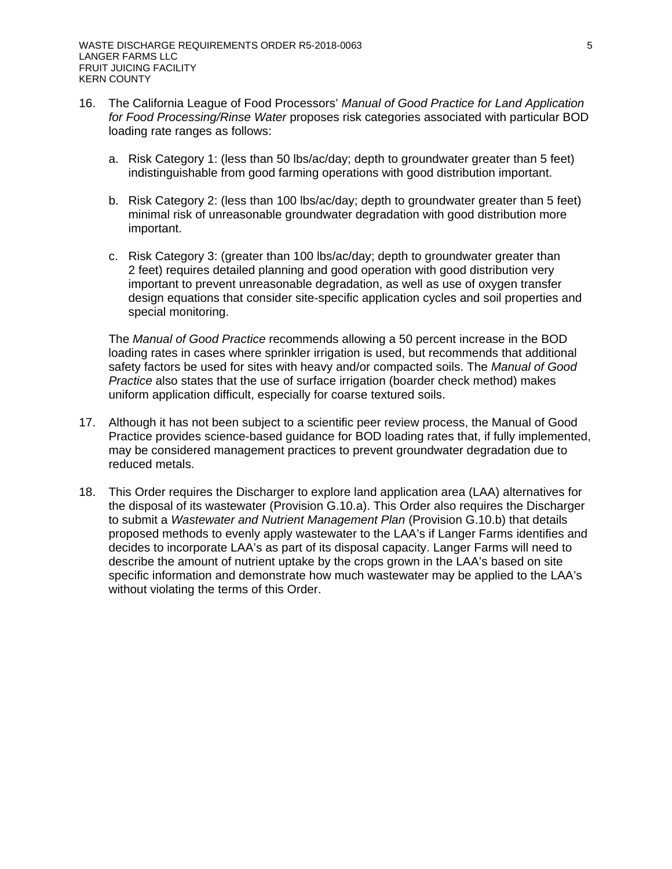- 16. The California League of Food Processors' *Manual of Good Practice for Land Application for Food Processing/Rinse Water* proposes risk categories associated with particular BOD loading rate ranges as follows:
	- a. Risk Category 1: (less than 50 lbs/ac/day; depth to groundwater greater than 5 feet) indistinguishable from good farming operations with good distribution important.
	- b. Risk Category 2: (less than 100 lbs/ac/day; depth to groundwater greater than 5 feet) minimal risk of unreasonable groundwater degradation with good distribution more important.
	- c. Risk Category 3: (greater than 100 lbs/ac/day; depth to groundwater greater than 2 feet) requires detailed planning and good operation with good distribution very important to prevent unreasonable degradation, as well as use of oxygen transfer design equations that consider site-specific application cycles and soil properties and special monitoring.

The *Manual of Good Practice* recommends allowing a 50 percent increase in the BOD loading rates in cases where sprinkler irrigation is used, but recommends that additional safety factors be used for sites with heavy and/or compacted soils. The *Manual of Good Practice* also states that the use of surface irrigation (boarder check method) makes uniform application difficult, especially for coarse textured soils.

- 17. Although it has not been subject to a scientific peer review process, the Manual of Good Practice provides science-based guidance for BOD loading rates that, if fully implemented, may be considered management practices to prevent groundwater degradation due to reduced metals.
- 18. This Order requires the Discharger to explore land application area (LAA) alternatives for the disposal of its wastewater (Provision G.10.a). This Order also requires the Discharger to submit a *Wastewater and Nutrient Management Plan* (Provision G.10.b) that details proposed methods to evenly apply wastewater to the LAA's if Langer Farms identifies and decides to incorporate LAA's as part of its disposal capacity. Langer Farms will need to describe the amount of nutrient uptake by the crops grown in the LAA's based on site specific information and demonstrate how much wastewater may be applied to the LAA's without violating the terms of this Order.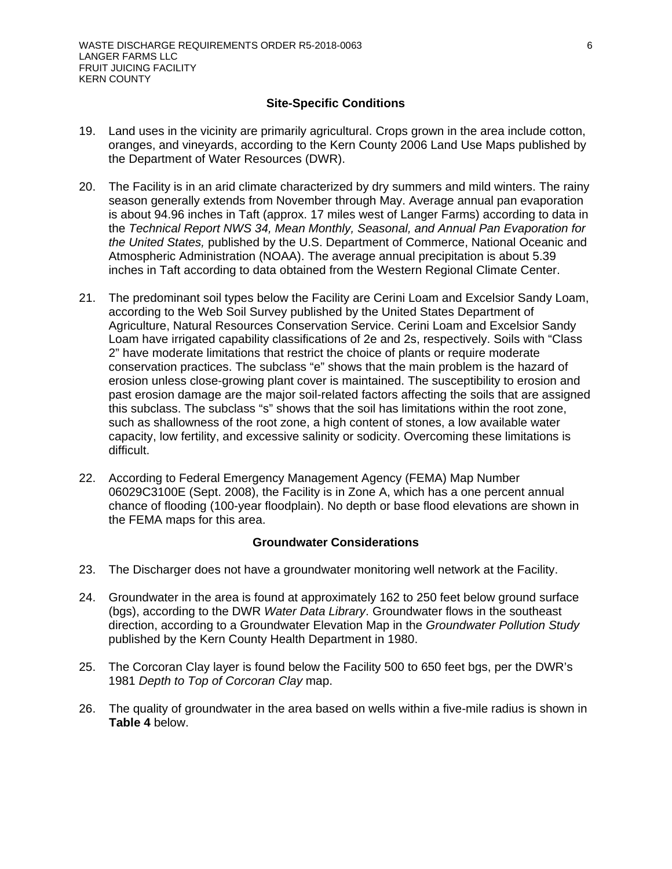## **Site-Specific Conditions**

- 19. Land uses in the vicinity are primarily agricultural. Crops grown in the area include cotton, oranges, and vineyards, according to the Kern County 2006 Land Use Maps published by the Department of Water Resources (DWR).
- 20. The Facility is in an arid climate characterized by dry summers and mild winters. The rainy season generally extends from November through May. Average annual pan evaporation is about 94.96 inches in Taft (approx. 17 miles west of Langer Farms) according to data in the *Technical Report NWS 34, Mean Monthly, Seasonal, and Annual Pan Evaporation for the United States,* published by the U.S. Department of Commerce, National Oceanic and Atmospheric Administration (NOAA). The average annual precipitation is about 5.39 inches in Taft according to data obtained from the Western Regional Climate Center.
- 21. The predominant soil types below the Facility are Cerini Loam and Excelsior Sandy Loam, according to the Web Soil Survey published by the United States Department of Agriculture, Natural Resources Conservation Service. Cerini Loam and Excelsior Sandy Loam have irrigated capability classifications of 2e and 2s, respectively. Soils with "Class 2" have moderate limitations that restrict the choice of plants or require moderate conservation practices. The subclass "e" shows that the main problem is the hazard of erosion unless close-growing plant cover is maintained. The susceptibility to erosion and past erosion damage are the major soil-related factors affecting the soils that are assigned this subclass. The subclass "s" shows that the soil has limitations within the root zone, such as shallowness of the root zone, a high content of stones, a low available water capacity, low fertility, and excessive salinity or sodicity. Overcoming these limitations is difficult.
- 22. According to Federal Emergency Management Agency (FEMA) Map Number 06029C3100E (Sept. 2008), the Facility is in Zone A, which has a one percent annual chance of flooding (100-year floodplain). No depth or base flood elevations are shown in the FEMA maps for this area.

## **Groundwater Considerations**

- 23. The Discharger does not have a groundwater monitoring well network at the Facility.
- 24. Groundwater in the area is found at approximately 162 to 250 feet below ground surface (bgs), according to the DWR *Water Data Library*. Groundwater flows in the southeast direction, according to a Groundwater Elevation Map in the *Groundwater Pollution Study* published by the Kern County Health Department in 1980.
- 25. The Corcoran Clay layer is found below the Facility 500 to 650 feet bgs, per the DWR's 1981 *Depth to Top of Corcoran Clay* map.
- 26. The quality of groundwater in the area based on wells within a five-mile radius is shown in **Table 4** below.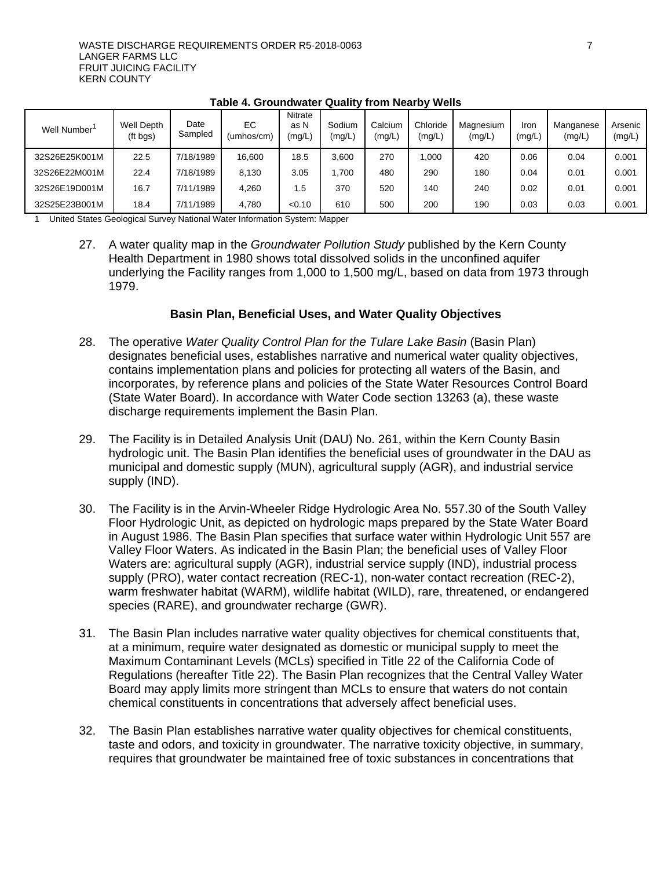| Well Number   | <b>Well Depth</b><br>(ft bgs) | Date<br>Sampled | EC<br>(umhos/cm) | Nitrate<br>as N<br>(mg/L, | Sodium<br>(mg/L) | Calcium<br>(mg/L) | Chloride<br>(mg/L) | Magnesium<br>(mg/L) | Iron<br>(mg/L) | Manganese<br>(mg/L) | Arsenic<br>(mg/L) |
|---------------|-------------------------------|-----------------|------------------|---------------------------|------------------|-------------------|--------------------|---------------------|----------------|---------------------|-------------------|
| 32S26E25K001M | 22.5                          | 7/18/1989       | 16,600           | 18.5                      | 3.600            | 270               | 000.1              | 420                 | 0.06           | 0.04                | 0.001             |
| 32S26E22M001M | 22.4                          | 7/18/1989       | 8.130            | 3.05                      | .700             | 480               | 290                | 180                 | 0.04           | 0.01                | 0.001             |
| 32S26E19D001M | 16.7                          | 7/11/1989       | 4.260            | 1.5                       | 370              | 520               | 140                | 240                 | 0.02           | 0.01                | 0.001             |
| 32S25E23B001M | 18.4                          | 7/11/1989       | 4.780            | < 0.10                    | 610              | 500               | 200                | 190                 | 0.03           | 0.03                | 0.001             |

**Table 4. Groundwater Quality from Nearby Wells**

1 United States Geological Survey National Water Information System: Mapper

27. A water quality map in the *Groundwater Pollution Study* published by the Kern County Health Department in 1980 shows total dissolved solids in the unconfined aquifer underlying the Facility ranges from 1,000 to 1,500 mg/L, based on data from 1973 through 1979.

# **Basin Plan, Beneficial Uses, and Water Quality Objectives**

- 28. The operative *Water Quality Control Plan for the Tulare Lake Basin* (Basin Plan) designates beneficial uses, establishes narrative and numerical water quality objectives, contains implementation plans and policies for protecting all waters of the Basin, and incorporates, by reference plans and policies of the State Water Resources Control Board (State Water Board). In accordance with Water Code section 13263 (a), these waste discharge requirements implement the Basin Plan.
- 29. The Facility is in Detailed Analysis Unit (DAU) No. 261, within the Kern County Basin hydrologic unit. The Basin Plan identifies the beneficial uses of groundwater in the DAU as municipal and domestic supply (MUN), agricultural supply (AGR), and industrial service supply (IND).
- 30. The Facility is in the Arvin-Wheeler Ridge Hydrologic Area No. 557.30 of the South Valley Floor Hydrologic Unit, as depicted on hydrologic maps prepared by the State Water Board in August 1986. The Basin Plan specifies that surface water within Hydrologic Unit 557 are Valley Floor Waters. As indicated in the Basin Plan; the beneficial uses of Valley Floor Waters are: agricultural supply (AGR), industrial service supply (IND), industrial process supply (PRO), water contact recreation (REC-1), non-water contact recreation (REC-2), warm freshwater habitat (WARM), wildlife habitat (WILD), rare, threatened, or endangered species (RARE), and groundwater recharge (GWR).
- 31. The Basin Plan includes narrative water quality objectives for chemical constituents that, at a minimum, require water designated as domestic or municipal supply to meet the Maximum Contaminant Levels (MCLs) specified in Title 22 of the California Code of Regulations (hereafter Title 22). The Basin Plan recognizes that the Central Valley Water Board may apply limits more stringent than MCLs to ensure that waters do not contain chemical constituents in concentrations that adversely affect beneficial uses.
- 32. The Basin Plan establishes narrative water quality objectives for chemical constituents, taste and odors, and toxicity in groundwater. The narrative toxicity objective, in summary, requires that groundwater be maintained free of toxic substances in concentrations that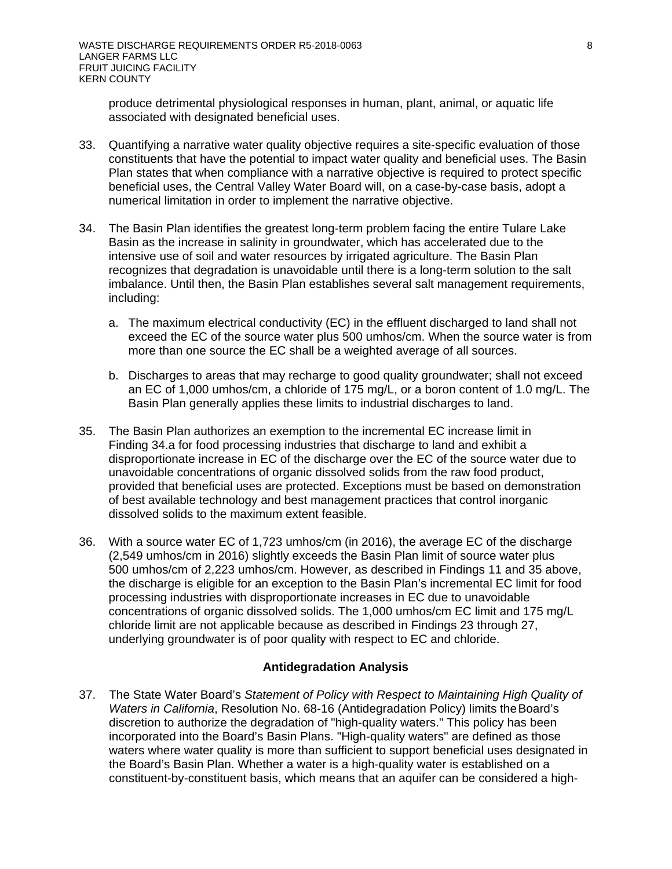produce detrimental physiological responses in human, plant, animal, or aquatic life associated with designated beneficial uses.

- 33. Quantifying a narrative water quality objective requires a site-specific evaluation of those constituents that have the potential to impact water quality and beneficial uses. The Basin Plan states that when compliance with a narrative objective is required to protect specific beneficial uses, the Central Valley Water Board will, on a case-by-case basis, adopt a numerical limitation in order to implement the narrative objective.
- 34. The Basin Plan identifies the greatest long-term problem facing the entire Tulare Lake Basin as the increase in salinity in groundwater, which has accelerated due to the intensive use of soil and water resources by irrigated agriculture. The Basin Plan recognizes that degradation is unavoidable until there is a long-term solution to the salt imbalance. Until then, the Basin Plan establishes several salt management requirements, including:
	- a. The maximum electrical conductivity (EC) in the effluent discharged to land shall not exceed the EC of the source water plus 500 umhos/cm. When the source water is from more than one source the EC shall be a weighted average of all sources.
	- b. Discharges to areas that may recharge to good quality groundwater; shall not exceed an EC of 1,000 umhos/cm, a chloride of 175 mg/L, or a boron content of 1.0 mg/L. The Basin Plan generally applies these limits to industrial discharges to land.
- 35. The Basin Plan authorizes an exemption to the incremental EC increase limit in Finding 34.a for food processing industries that discharge to land and exhibit a disproportionate increase in EC of the discharge over the EC of the source water due to unavoidable concentrations of organic dissolved solids from the raw food product, provided that beneficial uses are protected. Exceptions must be based on demonstration of best available technology and best management practices that control inorganic dissolved solids to the maximum extent feasible.
- 36. With a source water EC of 1,723 umhos/cm (in 2016), the average EC of the discharge (2,549 umhos/cm in 2016) slightly exceeds the Basin Plan limit of source water plus 500 umhos/cm of 2,223 umhos/cm. However, as described in Findings 11 and 35 above, the discharge is eligible for an exception to the Basin Plan's incremental EC limit for food processing industries with disproportionate increases in EC due to unavoidable concentrations of organic dissolved solids. The 1,000 umhos/cm EC limit and 175 mg/L chloride limit are not applicable because as described in Findings 23 through 27, underlying groundwater is of poor quality with respect to EC and chloride.

## **Antidegradation Analysis**

37. The State Water Board's *Statement of Policy with Respect to Maintaining High Quality of Waters in California*, Resolution No. 68-16 (Antidegradation Policy) limits theBoard's discretion to authorize the degradation of "high-quality waters." This policy has been incorporated into the Board's Basin Plans. "High-quality waters" are defined as those waters where water quality is more than sufficient to support beneficial uses designated in the Board's Basin Plan. Whether a water is a high-quality water is established on a constituent-by-constituent basis, which means that an aquifer can be considered a high-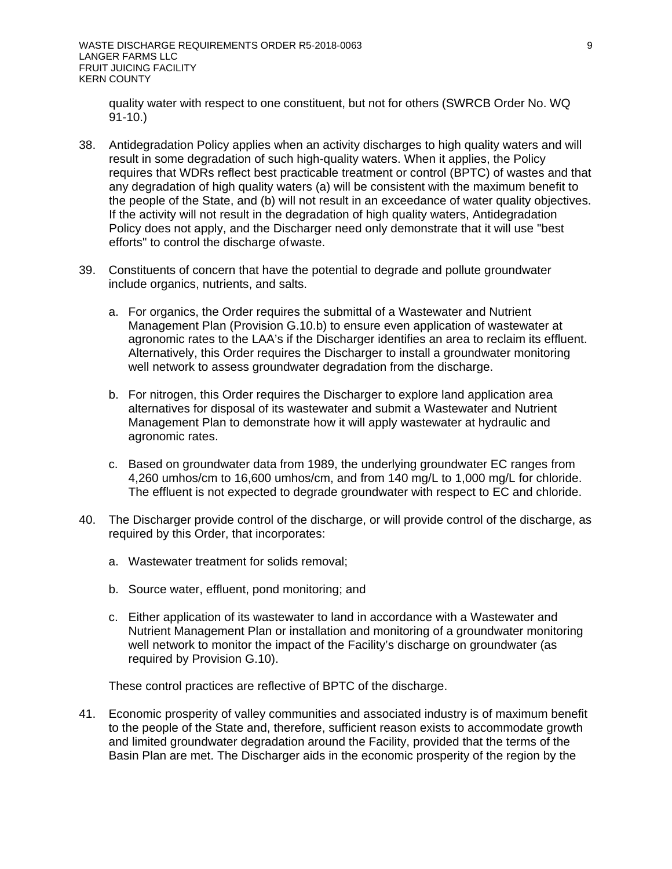quality water with respect to one constituent, but not for others (SWRCB Order No. WQ 91-10.)

- 38. Antidegradation Policy applies when an activity discharges to high quality waters and will result in some degradation of such high-quality waters. When it applies, the Policy requires that WDRs reflect best practicable treatment or control (BPTC) of wastes and that any degradation of high quality waters (a) will be consistent with the maximum benefit to the people of the State, and (b) will not result in an exceedance of water quality objectives. If the activity will not result in the degradation of high quality waters, Antidegradation Policy does not apply, and the Discharger need only demonstrate that it will use "best efforts" to control the discharge ofwaste.
- 39. Constituents of concern that have the potential to degrade and pollute groundwater include organics, nutrients, and salts.
	- a. For organics, the Order requires the submittal of a Wastewater and Nutrient Management Plan (Provision G.10.b) to ensure even application of wastewater at agronomic rates to the LAA's if the Discharger identifies an area to reclaim its effluent. Alternatively, this Order requires the Discharger to install a groundwater monitoring well network to assess groundwater degradation from the discharge.
	- b. For nitrogen, this Order requires the Discharger to explore land application area alternatives for disposal of its wastewater and submit a Wastewater and Nutrient Management Plan to demonstrate how it will apply wastewater at hydraulic and agronomic rates.
	- c. Based on groundwater data from 1989, the underlying groundwater EC ranges from 4,260 umhos/cm to 16,600 umhos/cm, and from 140 mg/L to 1,000 mg/L for chloride. The effluent is not expected to degrade groundwater with respect to EC and chloride.
- 40. The Discharger provide control of the discharge, or will provide control of the discharge, as required by this Order, that incorporates:
	- a. Wastewater treatment for solids removal;
	- b. Source water, effluent, pond monitoring; and
	- c. Either application of its wastewater to land in accordance with a Wastewater and Nutrient Management Plan or installation and monitoring of a groundwater monitoring well network to monitor the impact of the Facility's discharge on groundwater (as required by Provision G.10).

These control practices are reflective of BPTC of the discharge.

41. Economic prosperity of valley communities and associated industry is of maximum benefit to the people of the State and, therefore, sufficient reason exists to accommodate growth and limited groundwater degradation around the Facility, provided that the terms of the Basin Plan are met. The Discharger aids in the economic prosperity of the region by the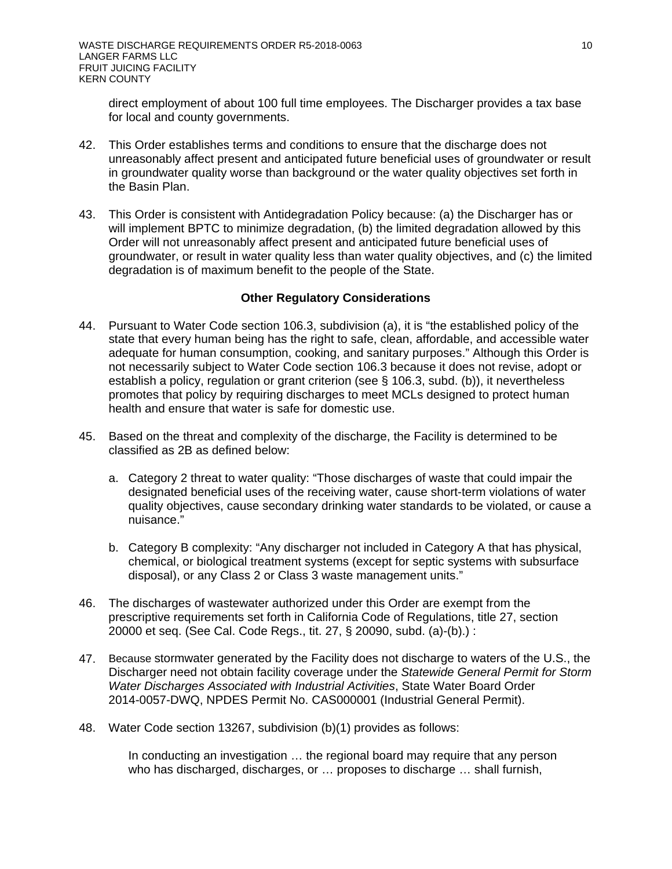direct employment of about 100 full time employees. The Discharger provides a tax base for local and county governments.

- 42. This Order establishes terms and conditions to ensure that the discharge does not unreasonably affect present and anticipated future beneficial uses of groundwater or result in groundwater quality worse than background or the water quality objectives set forth in the Basin Plan.
- 43. This Order is consistent with Antidegradation Policy because: (a) the Discharger has or will implement BPTC to minimize degradation, (b) the limited degradation allowed by this Order will not unreasonably affect present and anticipated future beneficial uses of groundwater, or result in water quality less than water quality objectives, and (c) the limited degradation is of maximum benefit to the people of the State.

## **Other Regulatory Considerations**

- 44. Pursuant to Water Code section 106.3, subdivision (a), it is "the established policy of the state that every human being has the right to safe, clean, affordable, and accessible water adequate for human consumption, cooking, and sanitary purposes." Although this Order is not necessarily subject to Water Code section 106.3 because it does not revise, adopt or establish a policy, regulation or grant criterion (see § 106.3, subd. (b)), it nevertheless promotes that policy by requiring discharges to meet MCLs designed to protect human health and ensure that water is safe for domestic use.
- 45. Based on the threat and complexity of the discharge, the Facility is determined to be classified as 2B as defined below:
	- a. Category 2 threat to water quality: "Those discharges of waste that could impair the designated beneficial uses of the receiving water, cause short-term violations of water quality objectives, cause secondary drinking water standards to be violated, or cause a nuisance."
	- b. Category B complexity: "Any discharger not included in Category A that has physical, chemical, or biological treatment systems (except for septic systems with subsurface disposal), or any Class 2 or Class 3 waste management units."
- 46. The discharges of wastewater authorized under this Order are exempt from the prescriptive requirements set forth in California Code of Regulations, title 27, section 20000 et seq. (See Cal. Code Regs., tit. 27, § 20090, subd. (a)-(b).) :
- 47. Because stormwater generated by the Facility does not discharge to waters of the U.S., the Discharger need not obtain facility coverage under the *Statewide General Permit for Storm Water Discharges Associated with Industrial Activities*, State Water Board Order 2014-0057-DWQ, NPDES Permit No. CAS000001 (Industrial General Permit).
- 48. Water Code section 13267, subdivision (b)(1) provides as follows:

In conducting an investigation … the regional board may require that any person who has discharged, discharges, or … proposes to discharge … shall furnish,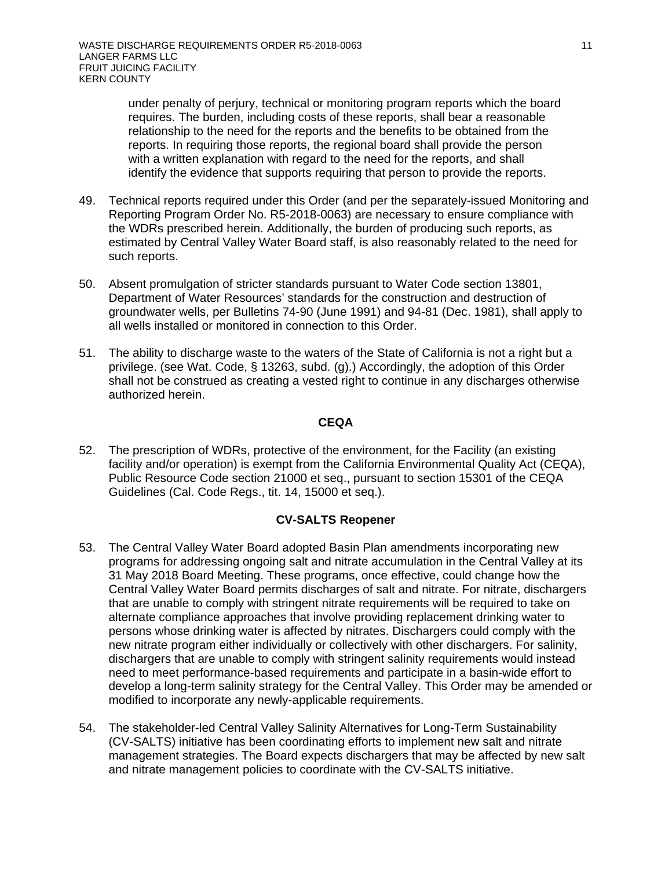under penalty of perjury, technical or monitoring program reports which the board requires. The burden, including costs of these reports, shall bear a reasonable relationship to the need for the reports and the benefits to be obtained from the reports. In requiring those reports, the regional board shall provide the person with a written explanation with regard to the need for the reports, and shall identify the evidence that supports requiring that person to provide the reports.

- 49. Technical reports required under this Order (and per the separately-issued Monitoring and Reporting Program Order No. R5-2018-0063) are necessary to ensure compliance with the WDRs prescribed herein. Additionally, the burden of producing such reports, as estimated by Central Valley Water Board staff, is also reasonably related to the need for such reports.
- 50. Absent promulgation of stricter standards pursuant to Water Code section 13801, Department of Water Resources' standards for the construction and destruction of groundwater wells, per Bulletins 74-90 (June 1991) and 94-81 (Dec. 1981), shall apply to all wells installed or monitored in connection to this Order.
- 51. The ability to discharge waste to the waters of the State of California is not a right but a privilege. (see Wat. Code, § 13263, subd. (g).) Accordingly, the adoption of this Order shall not be construed as creating a vested right to continue in any discharges otherwise authorized herein.

## **CEQA**

52. The prescription of WDRs, protective of the environment, for the Facility (an existing facility and/or operation) is exempt from the California Environmental Quality Act (CEQA), Public Resource Code section 21000 et seq., pursuant to section 15301 of the CEQA Guidelines (Cal. Code Regs., tit. 14, 15000 et seq.).

## **CV-SALTS Reopener**

- 53. The Central Valley Water Board adopted Basin Plan amendments incorporating new programs for addressing ongoing salt and nitrate accumulation in the Central Valley at its 31 May 2018 Board Meeting. These programs, once effective, could change how the Central Valley Water Board permits discharges of salt and nitrate. For nitrate, dischargers that are unable to comply with stringent nitrate requirements will be required to take on alternate compliance approaches that involve providing replacement drinking water to persons whose drinking water is affected by nitrates. Dischargers could comply with the new nitrate program either individually or collectively with other dischargers. For salinity, dischargers that are unable to comply with stringent salinity requirements would instead need to meet performance-based requirements and participate in a basin-wide effort to develop a long-term salinity strategy for the Central Valley. This Order may be amended or modified to incorporate any newly-applicable requirements.
- 54. The stakeholder-led Central Valley Salinity Alternatives for Long-Term Sustainability (CV-SALTS) initiative has been coordinating efforts to implement new salt and nitrate management strategies. The Board expects dischargers that may be affected by new salt and nitrate management policies to coordinate with the CV-SALTS initiative.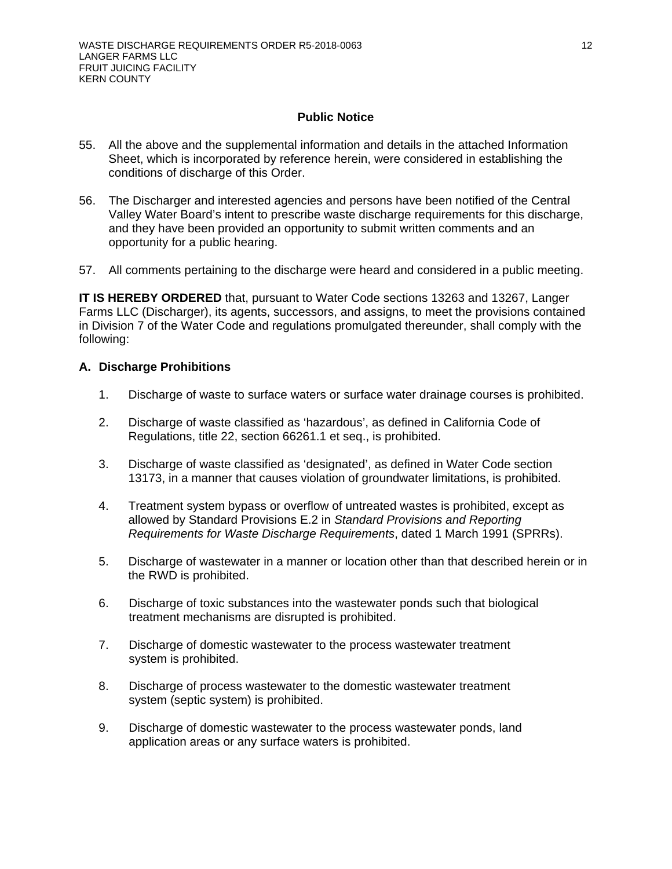## **Public Notice**

- 55. All the above and the supplemental information and details in the attached Information Sheet, which is incorporated by reference herein, were considered in establishing the conditions of discharge of this Order.
- 56. The Discharger and interested agencies and persons have been notified of the Central Valley Water Board's intent to prescribe waste discharge requirements for this discharge, and they have been provided an opportunity to submit written comments and an opportunity for a public hearing.
- 57. All comments pertaining to the discharge were heard and considered in a public meeting.

**IT IS HEREBY ORDERED** that, pursuant to Water Code sections 13263 and 13267, Langer Farms LLC (Discharger), its agents, successors, and assigns, to meet the provisions contained in Division 7 of the Water Code and regulations promulgated thereunder, shall comply with the following:

## **A. Discharge Prohibitions**

- 1. Discharge of waste to surface waters or surface water drainage courses is prohibited.
- 2. Discharge of waste classified as 'hazardous', as defined in California Code of Regulations, title 22, section 66261.1 et seq., is prohibited.
- 3. Discharge of waste classified as 'designated', as defined in Water Code section 13173, in a manner that causes violation of groundwater limitations, is prohibited.
- 4. Treatment system bypass or overflow of untreated wastes is prohibited, except as allowed by Standard Provisions E.2 in *Standard Provisions and Reporting Requirements for Waste Discharge Requirements*, dated 1 March 1991 (SPRRs).
- 5. Discharge of wastewater in a manner or location other than that described herein or in the RWD is prohibited.
- 6. Discharge of toxic substances into the wastewater ponds such that biological treatment mechanisms are disrupted is prohibited.
- 7. Discharge of domestic wastewater to the process wastewater treatment system is prohibited.
- 8. Discharge of process wastewater to the domestic wastewater treatment system (septic system) is prohibited.
- 9. Discharge of domestic wastewater to the process wastewater ponds, land application areas or any surface waters is prohibited.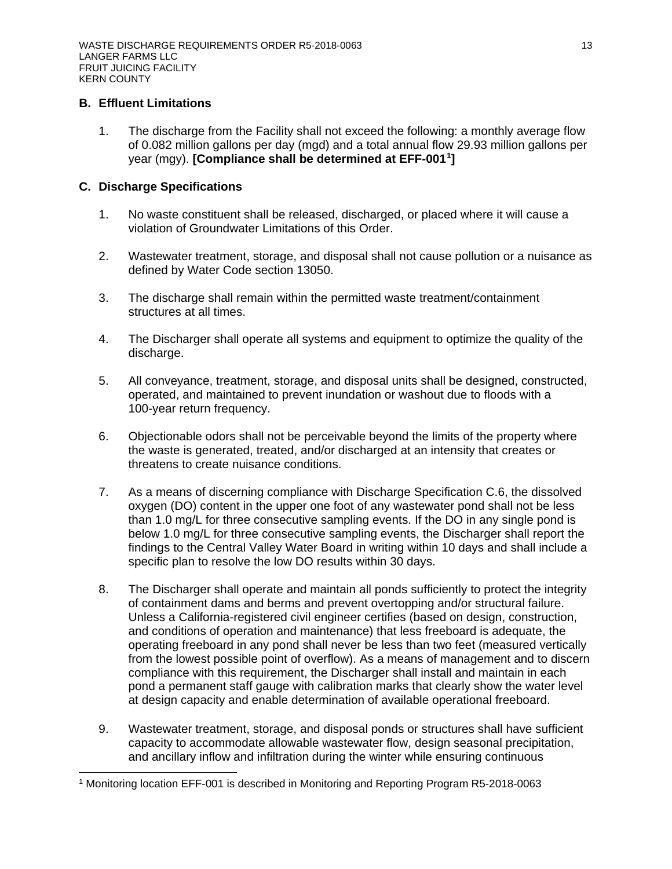## **B. Effluent Limitations**

1. The discharge from the Facility shall not exceed the following: a monthly average flow of 0.082 million gallons per day (mgd) and a total annual flow 29.93 million gallons per year (mgy). **[Compliance shall be determined at EFF-001[1](#page-12-0) ]**

## **C. Discharge Specifications**

- 1. No waste constituent shall be released, discharged, or placed where it will cause a violation of Groundwater Limitations of this Order.
- 2. Wastewater treatment, storage, and disposal shall not cause pollution or a nuisance as defined by Water Code section 13050.
- 3. The discharge shall remain within the permitted waste treatment/containment structures at all times.
- 4. The Discharger shall operate all systems and equipment to optimize the quality of the discharge.
- 5. All conveyance, treatment, storage, and disposal units shall be designed, constructed, operated, and maintained to prevent inundation or washout due to floods with a 100-year return frequency.
- 6. Objectionable odors shall not be perceivable beyond the limits of the property where the waste is generated, treated, and/or discharged at an intensity that creates or threatens to create nuisance conditions.
- 7. As a means of discerning compliance with Discharge Specification C.6, the dissolved oxygen (DO) content in the upper one foot of any wastewater pond shall not be less than 1.0 mg/L for three consecutive sampling events. If the DO in any single pond is below 1.0 mg/L for three consecutive sampling events, the Discharger shall report the findings to the Central Valley Water Board in writing within 10 days and shall include a specific plan to resolve the low DO results within 30 days.
- 8. The Discharger shall operate and maintain all ponds sufficiently to protect the integrity of containment dams and berms and prevent overtopping and/or structural failure. Unless a California-registered civil engineer certifies (based on design, construction, and conditions of operation and maintenance) that less freeboard is adequate, the operating freeboard in any pond shall never be less than two feet (measured vertically from the lowest possible point of overflow). As a means of management and to discern compliance with this requirement, the Discharger shall install and maintain in each pond a permanent staff gauge with calibration marks that clearly show the water level at design capacity and enable determination of available operational freeboard.
- 9. Wastewater treatment, storage, and disposal ponds or structures shall have sufficient capacity to accommodate allowable wastewater flow, design seasonal precipitation, and ancillary inflow and infiltration during the winter while ensuring continuous

<span id="page-12-0"></span> $\overline{a}$ <sup>1</sup> Monitoring location EFF-001 is described in Monitoring and Reporting Program R5-2018-0063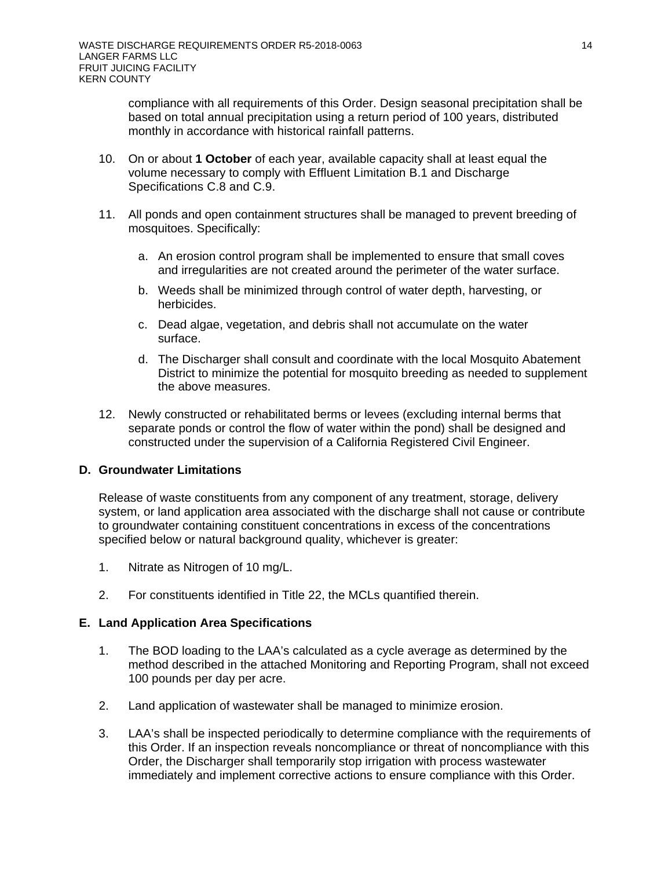compliance with all requirements of this Order. Design seasonal precipitation shall be based on total annual precipitation using a return period of 100 years, distributed monthly in accordance with historical rainfall patterns.

- 10. On or about **1 October** of each year, available capacity shall at least equal the volume necessary to comply with Effluent Limitation B.1 and Discharge Specifications C.8 and C.9.
- 11. All ponds and open containment structures shall be managed to prevent breeding of mosquitoes. Specifically:
	- a. An erosion control program shall be implemented to ensure that small coves and irregularities are not created around the perimeter of the water surface.
	- b. Weeds shall be minimized through control of water depth, harvesting, or herbicides.
	- c. Dead algae, vegetation, and debris shall not accumulate on the water surface.
	- d. The Discharger shall consult and coordinate with the local Mosquito Abatement District to minimize the potential for mosquito breeding as needed to supplement the above measures.
- 12. Newly constructed or rehabilitated berms or levees (excluding internal berms that separate ponds or control the flow of water within the pond) shall be designed and constructed under the supervision of a California Registered Civil Engineer.

## **D. Groundwater Limitations**

Release of waste constituents from any component of any treatment, storage, delivery system, or land application area associated with the discharge shall not cause or contribute to groundwater containing constituent concentrations in excess of the concentrations specified below or natural background quality, whichever is greater:

- 1. Nitrate as Nitrogen of 10 mg/L.
- 2. For constituents identified in Title 22, the MCLs quantified therein.

## **E. Land Application Area Specifications**

- 1. The BOD loading to the LAA's calculated as a cycle average as determined by the method described in the attached Monitoring and Reporting Program, shall not exceed 100 pounds per day per acre.
- 2. Land application of wastewater shall be managed to minimize erosion.
- 3. LAA's shall be inspected periodically to determine compliance with the requirements of this Order. If an inspection reveals noncompliance or threat of noncompliance with this Order, the Discharger shall temporarily stop irrigation with process wastewater immediately and implement corrective actions to ensure compliance with this Order.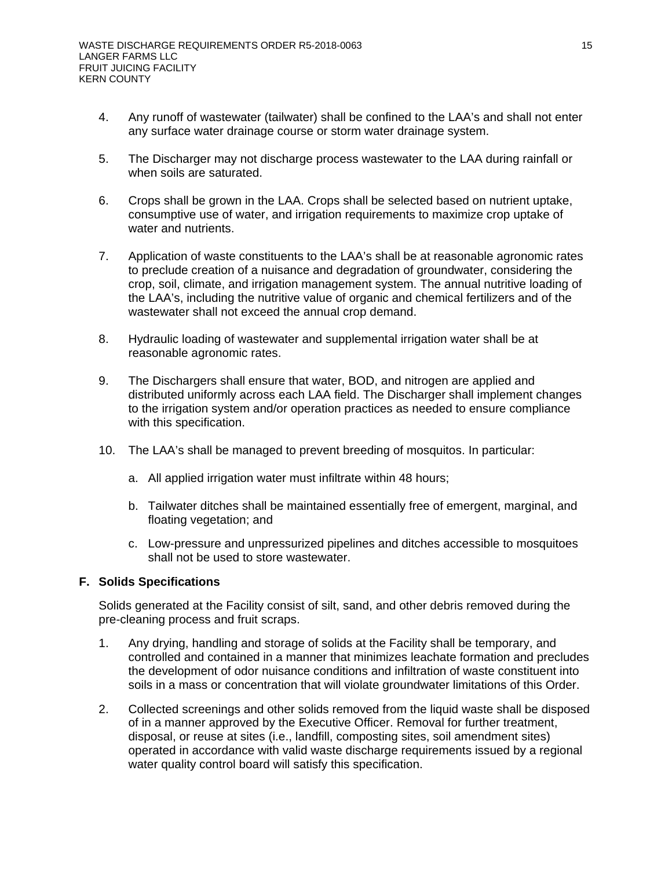- 4. Any runoff of wastewater (tailwater) shall be confined to the LAA's and shall not enter any surface water drainage course or storm water drainage system.
- 5. The Discharger may not discharge process wastewater to the LAA during rainfall or when soils are saturated.
- 6. Crops shall be grown in the LAA. Crops shall be selected based on nutrient uptake, consumptive use of water, and irrigation requirements to maximize crop uptake of water and nutrients.
- 7. Application of waste constituents to the LAA's shall be at reasonable agronomic rates to preclude creation of a nuisance and degradation of groundwater, considering the crop, soil, climate, and irrigation management system. The annual nutritive loading of the LAA's, including the nutritive value of organic and chemical fertilizers and of the wastewater shall not exceed the annual crop demand.
- 8. Hydraulic loading of wastewater and supplemental irrigation water shall be at reasonable agronomic rates.
- 9. The Dischargers shall ensure that water, BOD, and nitrogen are applied and distributed uniformly across each LAA field. The Discharger shall implement changes to the irrigation system and/or operation practices as needed to ensure compliance with this specification.
- 10. The LAA's shall be managed to prevent breeding of mosquitos. In particular:
	- a. All applied irrigation water must infiltrate within 48 hours;
	- b. Tailwater ditches shall be maintained essentially free of emergent, marginal, and floating vegetation; and
	- c. Low-pressure and unpressurized pipelines and ditches accessible to mosquitoes shall not be used to store wastewater.

## **F. Solids Specifications**

Solids generated at the Facility consist of silt, sand, and other debris removed during the pre-cleaning process and fruit scraps.

- 1. Any drying, handling and storage of solids at the Facility shall be temporary, and controlled and contained in a manner that minimizes leachate formation and precludes the development of odor nuisance conditions and infiltration of waste constituent into soils in a mass or concentration that will violate groundwater limitations of this Order.
- 2. Collected screenings and other solids removed from the liquid waste shall be disposed of in a manner approved by the Executive Officer. Removal for further treatment, disposal, or reuse at sites (i.e., landfill, composting sites, soil amendment sites) operated in accordance with valid waste discharge requirements issued by a regional water quality control board will satisfy this specification.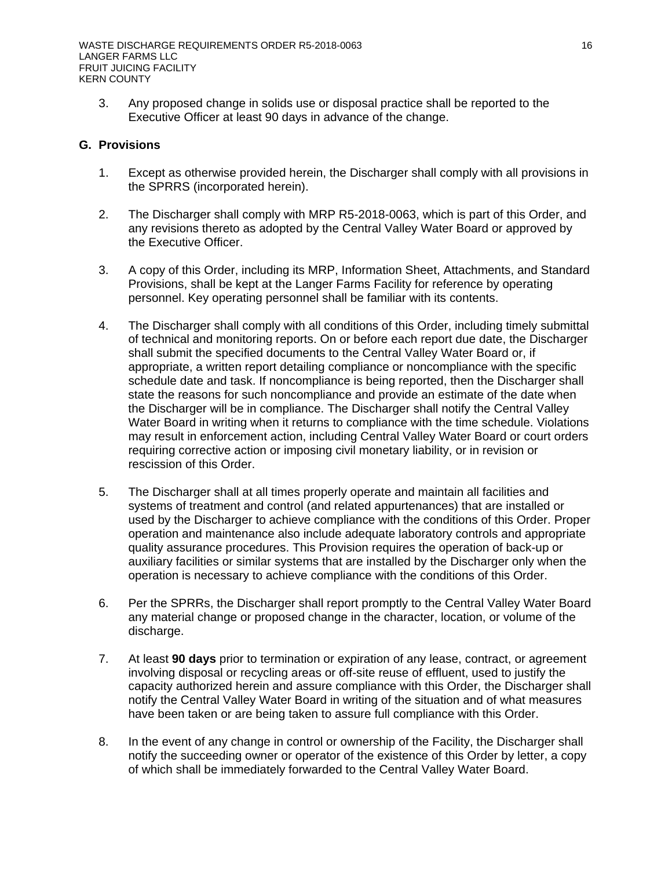3. Any proposed change in solids use or disposal practice shall be reported to the Executive Officer at least 90 days in advance of the change.

## **G. Provisions**

- 1. Except as otherwise provided herein, the Discharger shall comply with all provisions in the SPRRS (incorporated herein).
- 2. The Discharger shall comply with MRP R5-2018-0063, which is part of this Order, and any revisions thereto as adopted by the Central Valley Water Board or approved by the Executive Officer.
- 3. A copy of this Order, including its MRP, Information Sheet, Attachments, and Standard Provisions, shall be kept at the Langer Farms Facility for reference by operating personnel. Key operating personnel shall be familiar with its contents.
- 4. The Discharger shall comply with all conditions of this Order, including timely submittal of technical and monitoring reports. On or before each report due date, the Discharger shall submit the specified documents to the Central Valley Water Board or, if appropriate, a written report detailing compliance or noncompliance with the specific schedule date and task. If noncompliance is being reported, then the Discharger shall state the reasons for such noncompliance and provide an estimate of the date when the Discharger will be in compliance. The Discharger shall notify the Central Valley Water Board in writing when it returns to compliance with the time schedule. Violations may result in enforcement action, including Central Valley Water Board or court orders requiring corrective action or imposing civil monetary liability, or in revision or rescission of this Order.
- 5. The Discharger shall at all times properly operate and maintain all facilities and systems of treatment and control (and related appurtenances) that are installed or used by the Discharger to achieve compliance with the conditions of this Order. Proper operation and maintenance also include adequate laboratory controls and appropriate quality assurance procedures. This Provision requires the operation of back-up or auxiliary facilities or similar systems that are installed by the Discharger only when the operation is necessary to achieve compliance with the conditions of this Order.
- 6. Per the SPRRs, the Discharger shall report promptly to the Central Valley Water Board any material change or proposed change in the character, location, or volume of the discharge.
- 7. At least **90 days** prior to termination or expiration of any lease, contract, or agreement involving disposal or recycling areas or off-site reuse of effluent, used to justify the capacity authorized herein and assure compliance with this Order, the Discharger shall notify the Central Valley Water Board in writing of the situation and of what measures have been taken or are being taken to assure full compliance with this Order.
- 8. In the event of any change in control or ownership of the Facility, the Discharger shall notify the succeeding owner or operator of the existence of this Order by letter, a copy of which shall be immediately forwarded to the Central Valley Water Board.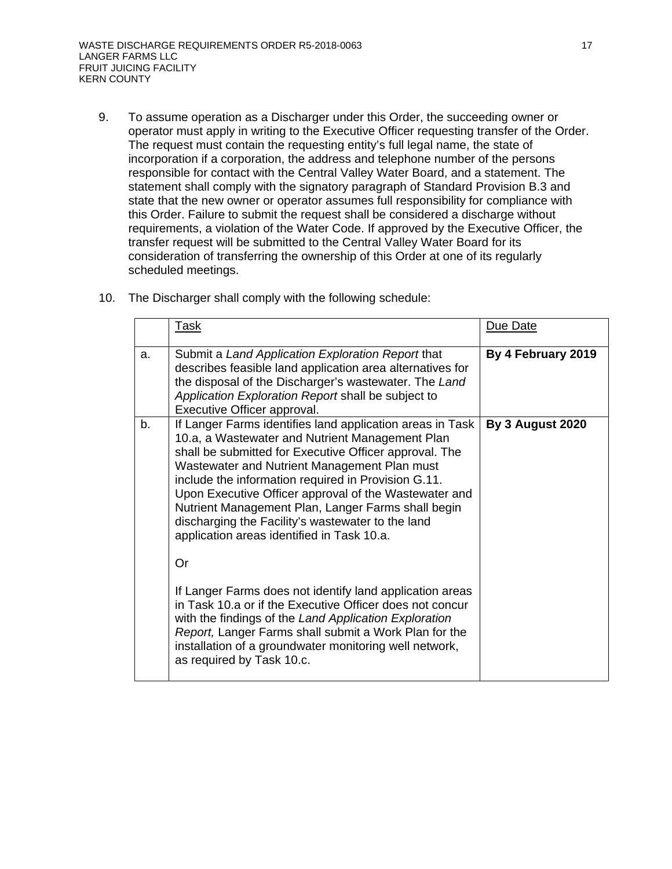9. To assume operation as a Discharger under this Order, the succeeding owner or operator must apply in writing to the Executive Officer requesting transfer of the Order. The request must contain the requesting entity's full legal name, the state of incorporation if a corporation, the address and telephone number of the persons responsible for contact with the Central Valley Water Board, and a statement. The statement shall comply with the signatory paragraph of Standard Provision B.3 and state that the new owner or operator assumes full responsibility for compliance with this Order. Failure to submit the request shall be considered a discharge without requirements, a violation of the Water Code. If approved by the Executive Officer, the transfer request will be submitted to the Central Valley Water Board for its consideration of transferring the ownership of this Order at one of its regularly scheduled meetings.

|    | <u>Task</u>                                                                                                                                                                                                                                                                                                                                                                                                                                                                                     | Due Date           |
|----|-------------------------------------------------------------------------------------------------------------------------------------------------------------------------------------------------------------------------------------------------------------------------------------------------------------------------------------------------------------------------------------------------------------------------------------------------------------------------------------------------|--------------------|
| a. | Submit a Land Application Exploration Report that<br>describes feasible land application area alternatives for<br>the disposal of the Discharger's wastewater. The Land<br>Application Exploration Report shall be subject to<br>Executive Officer approval.                                                                                                                                                                                                                                    | By 4 February 2019 |
| b. | If Langer Farms identifies land application areas in Task<br>10.a, a Wastewater and Nutrient Management Plan<br>shall be submitted for Executive Officer approval. The<br>Wastewater and Nutrient Management Plan must<br>include the information required in Provision G.11.<br>Upon Executive Officer approval of the Wastewater and<br>Nutrient Management Plan, Langer Farms shall begin<br>discharging the Facility's wastewater to the land<br>application areas identified in Task 10.a. | By 3 August 2020   |
|    | <b>Or</b>                                                                                                                                                                                                                                                                                                                                                                                                                                                                                       |                    |
|    | If Langer Farms does not identify land application areas<br>in Task 10.a or if the Executive Officer does not concur<br>with the findings of the Land Application Exploration<br>Report, Langer Farms shall submit a Work Plan for the<br>installation of a groundwater monitoring well network,<br>as required by Task 10.c.                                                                                                                                                                   |                    |

10. The Discharger shall comply with the following schedule: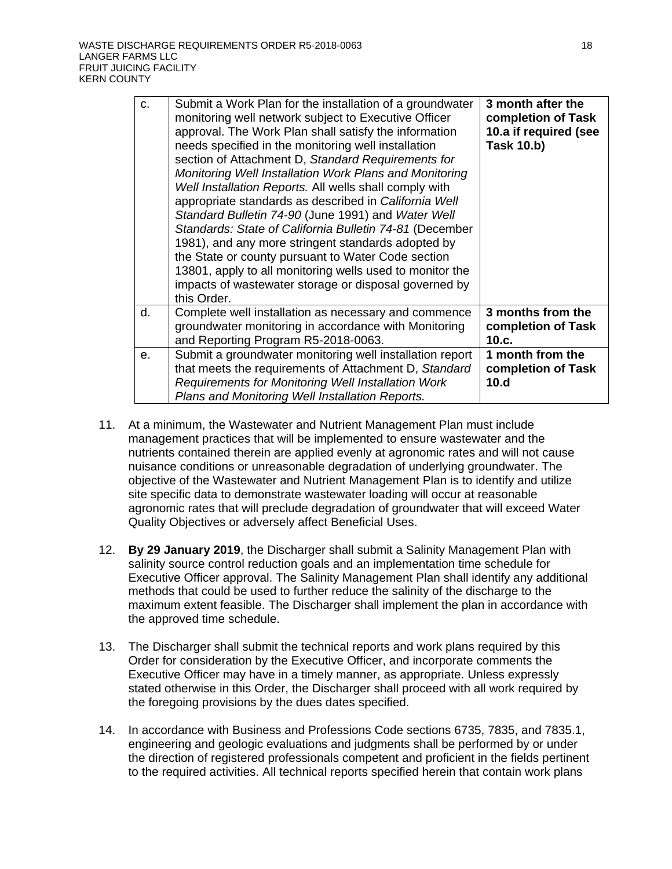| C. | Submit a Work Plan for the installation of a groundwater<br>monitoring well network subject to Executive Officer<br>approval. The Work Plan shall satisfy the information<br>needs specified in the monitoring well installation<br>section of Attachment D, Standard Requirements for<br>Monitoring Well Installation Work Plans and Monitoring<br>Well Installation Reports. All wells shall comply with<br>appropriate standards as described in California Well<br>Standard Bulletin 74-90 (June 1991) and Water Well<br>Standards: State of California Bulletin 74-81 (December<br>1981), and any more stringent standards adopted by<br>the State or county pursuant to Water Code section<br>13801, apply to all monitoring wells used to monitor the<br>impacts of wastewater storage or disposal governed by<br>this Order. | 3 month after the<br>completion of Task<br>10.a if required (see<br><b>Task 10.b)</b> |
|----|--------------------------------------------------------------------------------------------------------------------------------------------------------------------------------------------------------------------------------------------------------------------------------------------------------------------------------------------------------------------------------------------------------------------------------------------------------------------------------------------------------------------------------------------------------------------------------------------------------------------------------------------------------------------------------------------------------------------------------------------------------------------------------------------------------------------------------------|---------------------------------------------------------------------------------------|
| d. | Complete well installation as necessary and commence<br>groundwater monitoring in accordance with Monitoring<br>and Reporting Program R5-2018-0063.                                                                                                                                                                                                                                                                                                                                                                                                                                                                                                                                                                                                                                                                                  | 3 months from the<br>completion of Task<br>10.c.                                      |
| е. | Submit a groundwater monitoring well installation report<br>that meets the requirements of Attachment D, Standard<br>Requirements for Monitoring Well Installation Work<br>Plans and Monitoring Well Installation Reports.                                                                                                                                                                                                                                                                                                                                                                                                                                                                                                                                                                                                           | 1 month from the<br>completion of Task<br>10.d                                        |

- 11. At a minimum, the Wastewater and Nutrient Management Plan must include management practices that will be implemented to ensure wastewater and the nutrients contained therein are applied evenly at agronomic rates and will not cause nuisance conditions or unreasonable degradation of underlying groundwater. The objective of the Wastewater and Nutrient Management Plan is to identify and utilize site specific data to demonstrate wastewater loading will occur at reasonable agronomic rates that will preclude degradation of groundwater that will exceed Water Quality Objectives or adversely affect Beneficial Uses.
- 12. **By 29 January 2019**, the Discharger shall submit a Salinity Management Plan with salinity source control reduction goals and an implementation time schedule for Executive Officer approval. The Salinity Management Plan shall identify any additional methods that could be used to further reduce the salinity of the discharge to the maximum extent feasible. The Discharger shall implement the plan in accordance with the approved time schedule.
- 13. The Discharger shall submit the technical reports and work plans required by this Order for consideration by the Executive Officer, and incorporate comments the Executive Officer may have in a timely manner, as appropriate. Unless expressly stated otherwise in this Order, the Discharger shall proceed with all work required by the foregoing provisions by the dues dates specified.
- 14. In accordance with Business and Professions Code sections 6735, 7835, and 7835.1, engineering and geologic evaluations and judgments shall be performed by or under the direction of registered professionals competent and proficient in the fields pertinent to the required activities. All technical reports specified herein that contain work plans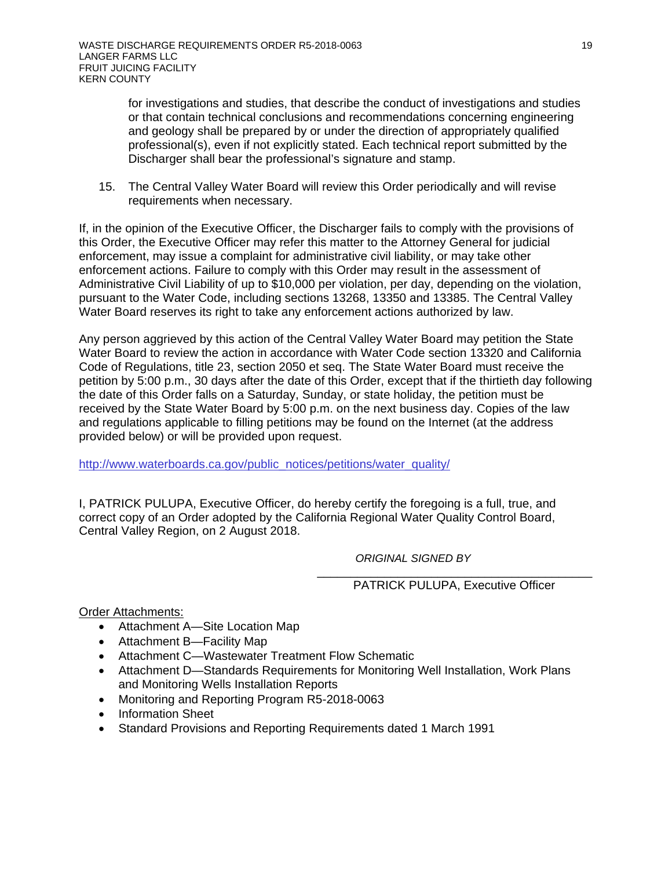for investigations and studies, that describe the conduct of investigations and studies or that contain technical conclusions and recommendations concerning engineering and geology shall be prepared by or under the direction of appropriately qualified professional(s), even if not explicitly stated. Each technical report submitted by the Discharger shall bear the professional's signature and stamp.

15. The Central Valley Water Board will review this Order periodically and will revise requirements when necessary.

If, in the opinion of the Executive Officer, the Discharger fails to comply with the provisions of this Order, the Executive Officer may refer this matter to the Attorney General for judicial enforcement, may issue a complaint for administrative civil liability, or may take other enforcement actions. Failure to comply with this Order may result in the assessment of Administrative Civil Liability of up to \$10,000 per violation, per day, depending on the violation, pursuant to the Water Code, including sections 13268, 13350 and 13385. The Central Valley Water Board reserves its right to take any enforcement actions authorized by law.

Any person aggrieved by this action of the Central Valley Water Board may petition the State Water Board to review the action in accordance with Water Code section 13320 and California Code of Regulations, title 23, section 2050 et seq. The State Water Board must receive the petition by 5:00 p.m., 30 days after the date of this Order, except that if the thirtieth day following the date of this Order falls on a Saturday, Sunday, or state holiday, the petition must be received by the State Water Board by 5:00 p.m. on the next business day. Copies of the law and regulations applicable to filling petitions may be found on the Internet (at the address provided below) or will be provided upon request.

[http://www.waterboards.ca.gov/public\\_notices/petitions/water\\_quality/](http://www.waterboards.ca.gov/public_notices/petitions/water_quality/)

I, PATRICK PULUPA, Executive Officer, do hereby certify the foregoing is a full, true, and correct copy of an Order adopted by the California Regional Water Quality Control Board, Central Valley Region, on 2 August 2018.

*ORIGINAL SIGNED BY*

#### \_\_\_\_\_\_\_\_\_\_\_\_\_\_\_\_\_\_\_\_\_\_\_\_\_\_\_\_\_\_\_\_\_\_\_\_\_\_\_\_\_ PATRICK PULUPA, Executive Officer

Order Attachments:

- Attachment A—Site Location Map
- Attachment B—Facility Map
- Attachment C—Wastewater Treatment Flow Schematic
- Attachment D—Standards Requirements for Monitoring Well Installation, Work Plans and Monitoring Wells Installation Reports
- Monitoring and Reporting Program R5-2018-0063
- Information Sheet
- Standard Provisions and Reporting Requirements dated 1 March 1991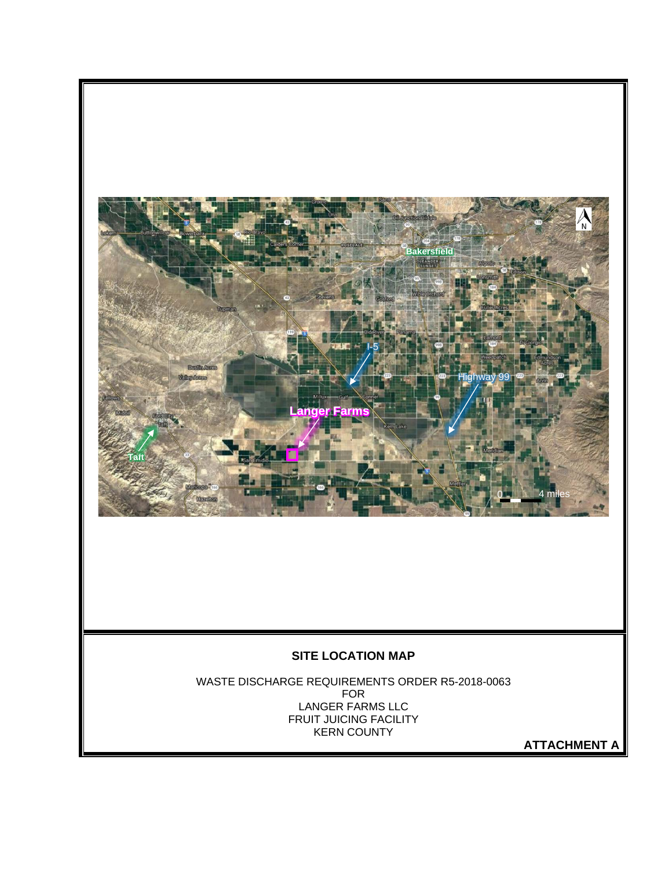

**ATTACHMENT A**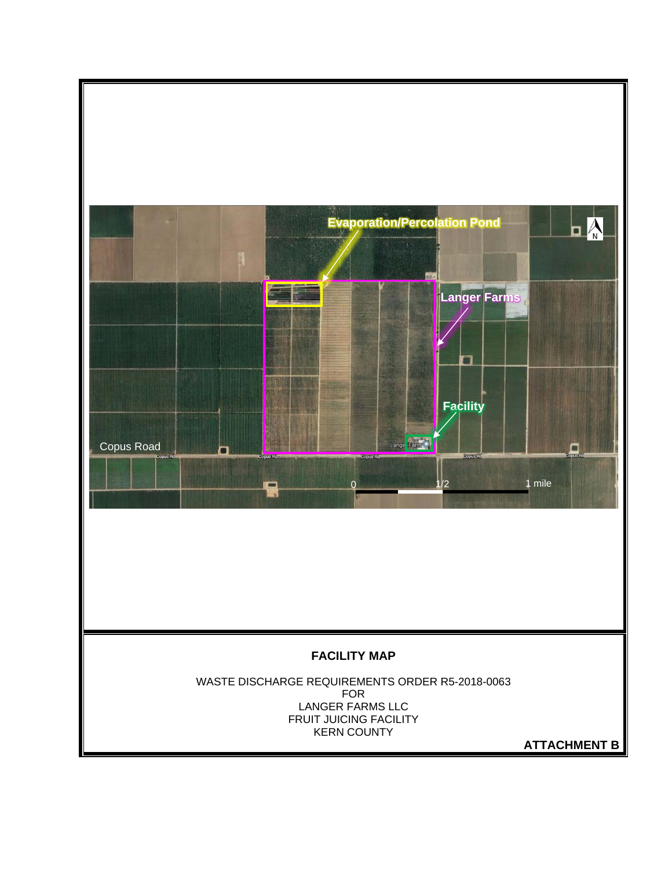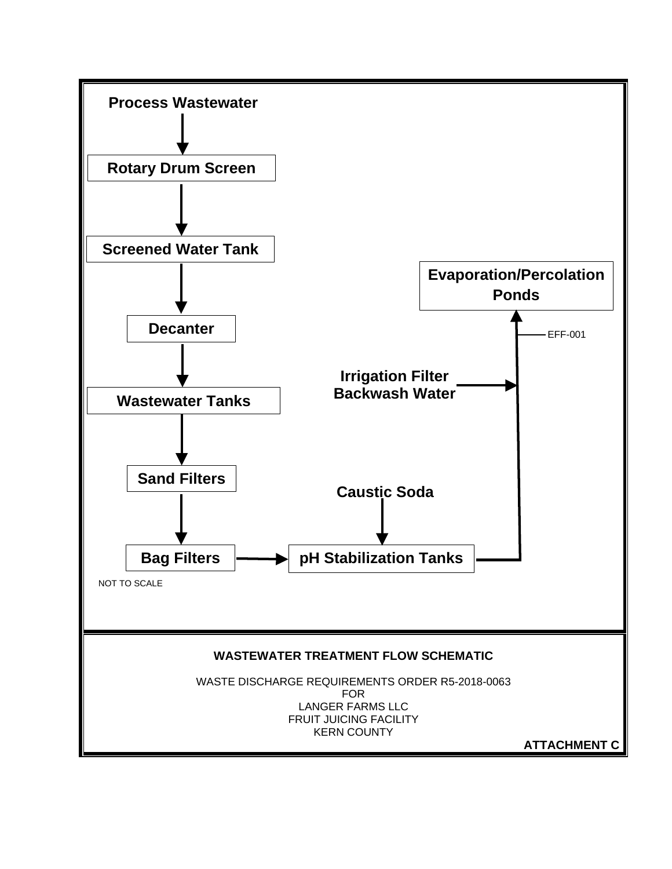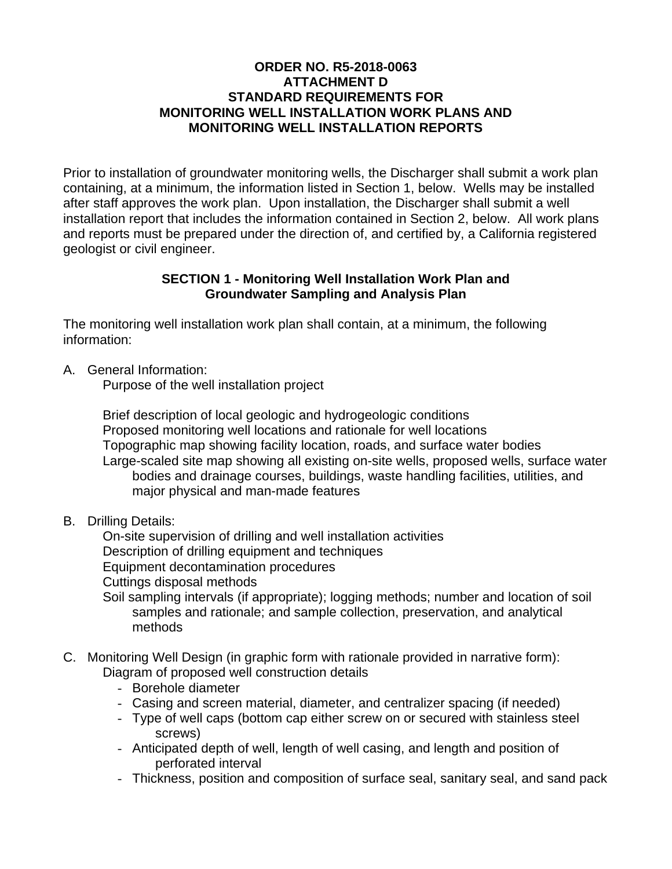# **ORDER NO. R5-2018-0063 ATTACHMENT D STANDARD REQUIREMENTS FOR MONITORING WELL INSTALLATION WORK PLANS AND MONITORING WELL INSTALLATION REPORTS**

Prior to installation of groundwater monitoring wells, the Discharger shall submit a work plan containing, at a minimum, the information listed in Section 1, below. Wells may be installed after staff approves the work plan. Upon installation, the Discharger shall submit a well installation report that includes the information contained in Section 2, below. All work plans and reports must be prepared under the direction of, and certified by, a California registered geologist or civil engineer.

# **SECTION 1 - Monitoring Well Installation Work Plan and Groundwater Sampling and Analysis Plan**

The monitoring well installation work plan shall contain, at a minimum, the following information:

A. General Information:

Purpose of the well installation project

Brief description of local geologic and hydrogeologic conditions Proposed monitoring well locations and rationale for well locations Topographic map showing facility location, roads, and surface water bodies Large-scaled site map showing all existing on-site wells, proposed wells, surface water bodies and drainage courses, buildings, waste handling facilities, utilities, and major physical and man-made features

B. Drilling Details:

On-site supervision of drilling and well installation activities Description of drilling equipment and techniques Equipment decontamination procedures Cuttings disposal methods Soil sampling intervals (if appropriate); logging methods; number and location of soil

- samples and rationale; and sample collection, preservation, and analytical methods
- C. Monitoring Well Design (in graphic form with rationale provided in narrative form): Diagram of proposed well construction details
	- Borehole diameter
	- Casing and screen material, diameter, and centralizer spacing (if needed)
	- Type of well caps (bottom cap either screw on or secured with stainless steel screws)
	- Anticipated depth of well, length of well casing, and length and position of perforated interval
	- Thickness, position and composition of surface seal, sanitary seal, and sand pack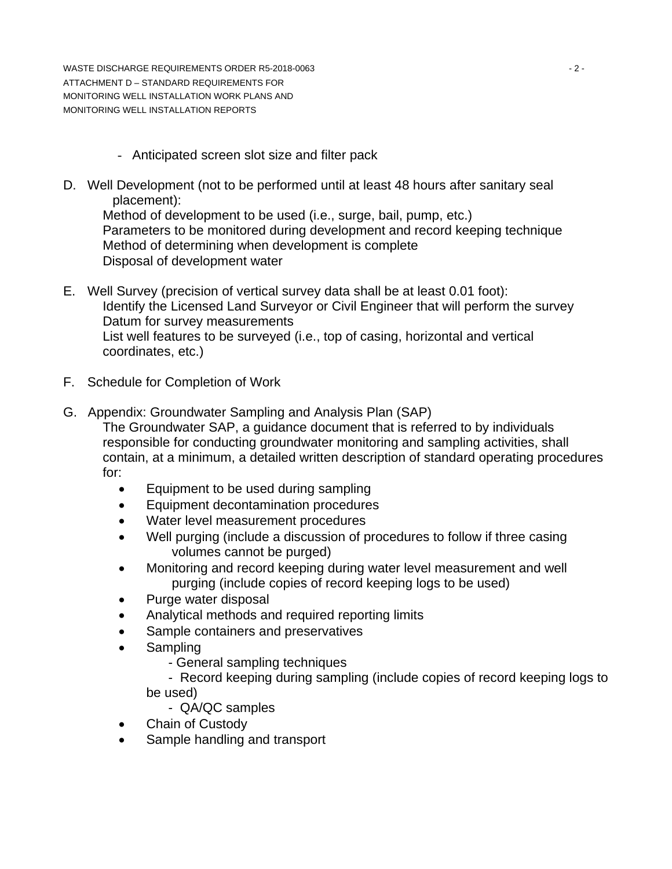WASTE DISCHARGE REQUIREMENTS ORDER R5-2018-0063 AND THE RESIDENCE OF A 2-2-ATTACHMENT D – STANDARD REQUIREMENTS FOR MONITORING WELL INSTALLATION WORK PLANS AND MONITORING WELL INSTALLATION REPORTS

- Anticipated screen slot size and filter pack
- D. Well Development (not to be performed until at least 48 hours after sanitary seal placement):

Method of development to be used (i.e., surge, bail, pump, etc.) Parameters to be monitored during development and record keeping technique Method of determining when development is complete Disposal of development water

- E. Well Survey (precision of vertical survey data shall be at least 0.01 foot): Identify the Licensed Land Surveyor or Civil Engineer that will perform the survey Datum for survey measurements List well features to be surveyed (i.e., top of casing, horizontal and vertical coordinates, etc.)
- F. Schedule for Completion of Work
- G. Appendix: Groundwater Sampling and Analysis Plan (SAP) The Groundwater SAP, a guidance document that is referred to by individuals responsible for conducting groundwater monitoring and sampling activities, shall contain, at a minimum, a detailed written description of standard operating procedures for:
	- Equipment to be used during sampling
	- Equipment decontamination procedures
	- Water level measurement procedures
	- Well purging (include a discussion of procedures to follow if three casing volumes cannot be purged)
	- Monitoring and record keeping during water level measurement and well purging (include copies of record keeping logs to be used)
	- Purge water disposal
	- Analytical methods and required reporting limits
	- Sample containers and preservatives
	- Sampling
		- General sampling techniques

 - Record keeping during sampling (include copies of record keeping logs to be used)

- QA/QC samples
- Chain of Custody
- Sample handling and transport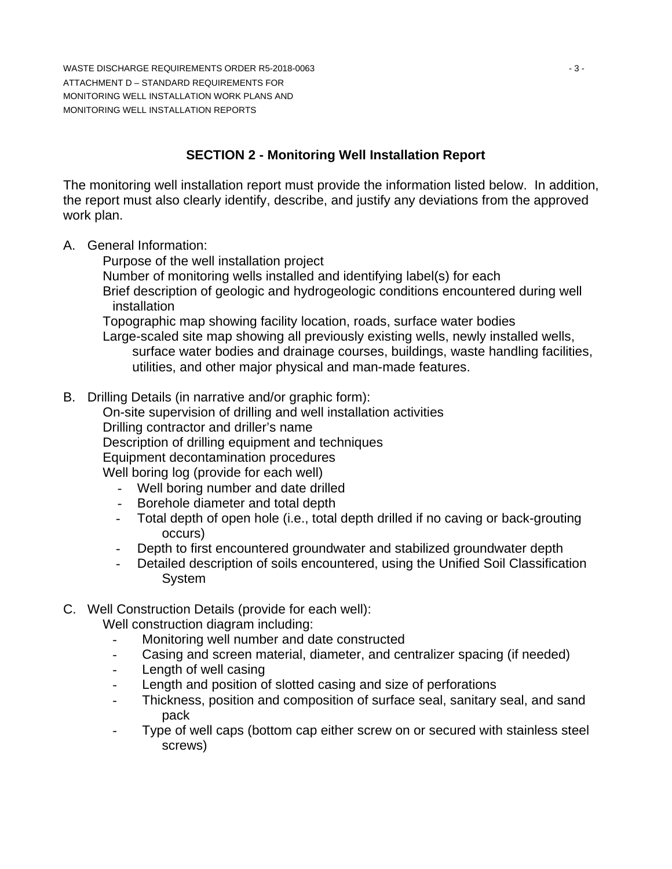WASTE DISCHARGE REQUIREMENTS ORDER R5-2018-0063 AND THE STATE DISCHARGE REQUIREMENTS ORDER R5-2018-0063 ATTACHMENT D – STANDARD REQUIREMENTS FOR MONITORING WELL INSTALLATION WORK PLANS AND MONITORING WELL INSTALLATION REPORTS

# **SECTION 2 - Monitoring Well Installation Report**

The monitoring well installation report must provide the information listed below. In addition, the report must also clearly identify, describe, and justify any deviations from the approved work plan.

A. General Information:

Purpose of the well installation project

Number of monitoring wells installed and identifying label(s) for each

Brief description of geologic and hydrogeologic conditions encountered during well installation

Topographic map showing facility location, roads, surface water bodies

Large-scaled site map showing all previously existing wells, newly installed wells, surface water bodies and drainage courses, buildings, waste handling facilities, utilities, and other major physical and man-made features.

B. Drilling Details (in narrative and/or graphic form):

On-site supervision of drilling and well installation activities

Drilling contractor and driller's name

Description of drilling equipment and techniques

Equipment decontamination procedures

Well boring log (provide for each well)

- Well boring number and date drilled
- Borehole diameter and total depth
- Total depth of open hole (i.e., total depth drilled if no caving or back-grouting occurs)
- Depth to first encountered groundwater and stabilized groundwater depth
- Detailed description of soils encountered, using the Unified Soil Classification System
- C. Well Construction Details (provide for each well):

Well construction diagram including:

- Monitoring well number and date constructed
- Casing and screen material, diameter, and centralizer spacing (if needed)
- Length of well casing
- Length and position of slotted casing and size of perforations
- Thickness, position and composition of surface seal, sanitary seal, and sand pack
- Type of well caps (bottom cap either screw on or secured with stainless steel screws)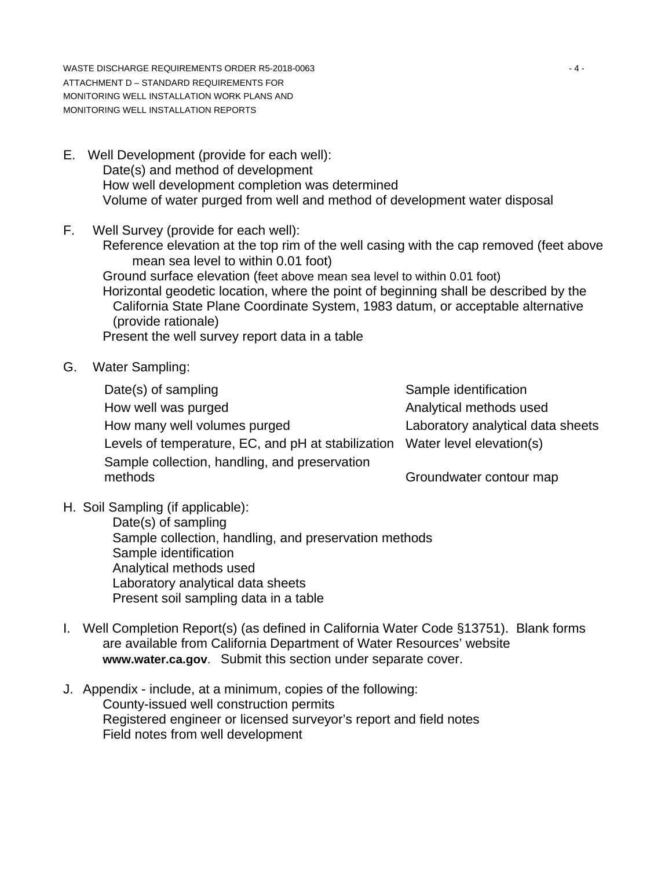WASTE DISCHARGE REQUIREMENTS ORDER R5-2018-0063 ACCOMMENTS ON MASTE DISCHARGE REQUIREMENTS ORDER R5-2018-0063 ATTACHMENT D – STANDARD REQUIREMENTS FOR MONITORING WELL INSTALLATION WORK PLANS AND MONITORING WELL INSTALLATION REPORTS

- E. Well Development (provide for each well): Date(s) and method of development How well development completion was determined Volume of water purged from well and method of development water disposal
- F. Well Survey (provide for each well): Reference elevation at the top rim of the well casing with the cap removed (feet above mean sea level to within 0.01 foot) Ground surface elevation (feet above mean sea level to within 0.01 foot) Horizontal geodetic location, where the point of beginning shall be described by the California State Plane Coordinate System, 1983 datum, or acceptable alternative (provide rationale) Present the well survey report data in a table
- G. Water Sampling:

Date(s) of sampling Date(s) of sampling How well was purged **Analytical methods** used How many well volumes purged Laboratory analytical data sheets Levels of temperature, EC, and pH at stabilization Water level elevation(s) Sample collection, handling, and preservation methods Groundwater contour map

H. Soil Sampling (if applicable):

Date(s) of sampling Sample collection, handling, and preservation methods Sample identification Analytical methods used Laboratory analytical data sheets Present soil sampling data in a table

- I. Well Completion Report(s) (as defined in California Water Code §13751). Blank forms are available from California Department of Water Resources' website **www.water.ca.gov**. Submit this section under separate cover.
- J. Appendix include, at a minimum, copies of the following: County-issued well construction permits Registered engineer or licensed surveyor's report and field notes Field notes from well development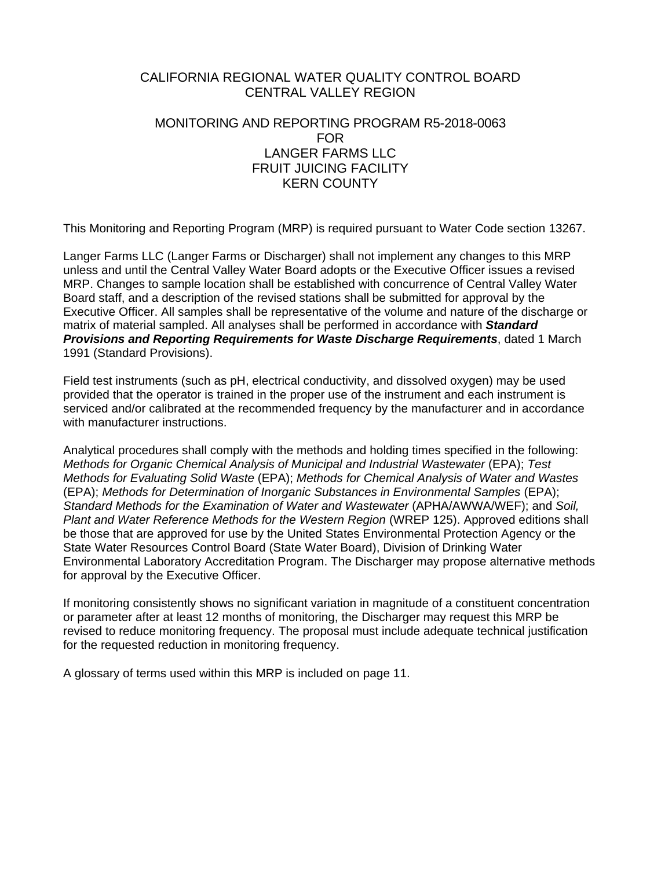# CALIFORNIA REGIONAL WATER QUALITY CONTROL BOARD CENTRAL VALLEY REGION

# MONITORING AND REPORTING PROGRAM R5-2018-0063 FOR LANGER FARMS LLC FRUIT JUICING FACILITY KERN COUNTY

This Monitoring and Reporting Program (MRP) is required pursuant to Water Code section 13267.

Langer Farms LLC (Langer Farms or Discharger) shall not implement any changes to this MRP unless and until the Central Valley Water Board adopts or the Executive Officer issues a revised MRP. Changes to sample location shall be established with concurrence of Central Valley Water Board staff, and a description of the revised stations shall be submitted for approval by the Executive Officer. All samples shall be representative of the volume and nature of the discharge or matrix of material sampled. All analyses shall be performed in accordance with *Standard Provisions and Reporting Requirements for Waste Discharge Requirements*, dated 1 March 1991 (Standard Provisions).

Field test instruments (such as pH, electrical conductivity, and dissolved oxygen) may be used provided that the operator is trained in the proper use of the instrument and each instrument is serviced and/or calibrated at the recommended frequency by the manufacturer and in accordance with manufacturer instructions.

Analytical procedures shall comply with the methods and holding times specified in the following: *Methods for Organic Chemical Analysis of Municipal and Industrial Wastewater (EPA); Test Methods for Evaluating Solid Waste* (EPA); *Methods for Chemical Analysis of Water and Wastes* (EPA); *Methods for Determination of Inorganic Substances in Environmental Samples* (EPA); *Standard Methods for the Examination of Water and Wastewater* (APHA/AWWA/WEF); and *Soil, Plant and Water Reference Methods for the Western Region* (WREP 125). Approved editions shall be those that are approved for use by the United States Environmental Protection Agency or the State Water Resources Control Board (State Water Board), Division of Drinking Water Environmental Laboratory Accreditation Program. The Discharger may propose alternative methods for approval by the Executive Officer.

If monitoring consistently shows no significant variation in magnitude of a constituent concentration or parameter after at least 12 months of monitoring, the Discharger may request this MRP be revised to reduce monitoring frequency. The proposal must include adequate technical justification for the requested reduction in monitoring frequency.

A glossary of terms used within this MRP is included on page 11.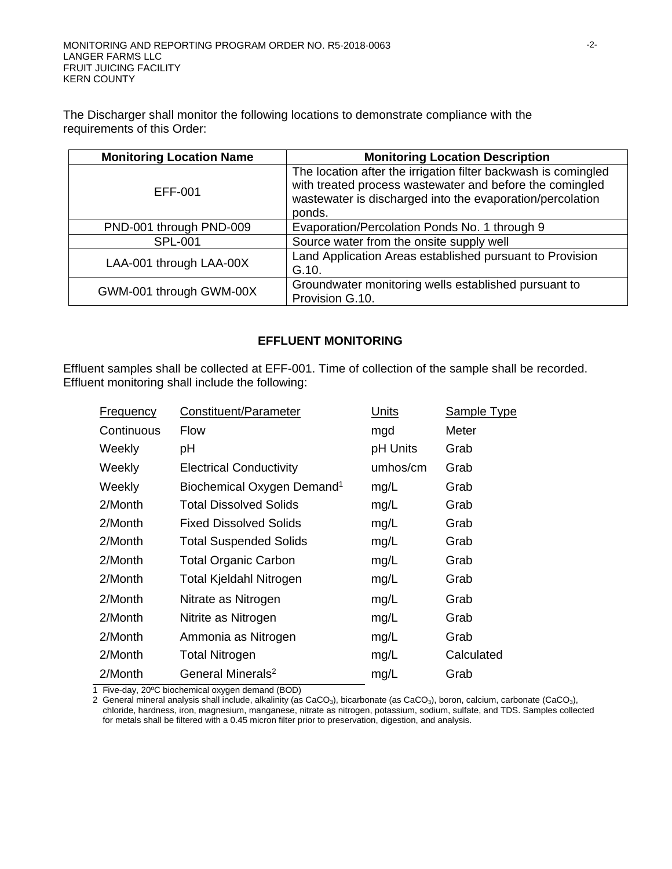The Discharger shall monitor the following locations to demonstrate compliance with the requirements of this Order:

| <b>Monitoring Location Name</b> | <b>Monitoring Location Description</b>                                                                                                                                                            |
|---------------------------------|---------------------------------------------------------------------------------------------------------------------------------------------------------------------------------------------------|
| EFF-001                         | The location after the irrigation filter backwash is comingled<br>with treated process wastewater and before the comingled<br>wastewater is discharged into the evaporation/percolation<br>ponds. |
| PND-001 through PND-009         | Evaporation/Percolation Ponds No. 1 through 9                                                                                                                                                     |
| <b>SPL-001</b>                  | Source water from the onsite supply well                                                                                                                                                          |
| LAA-001 through LAA-00X         | Land Application Areas established pursuant to Provision<br>G.10.                                                                                                                                 |
| GWM-001 through GWM-00X         | Groundwater monitoring wells established pursuant to<br>Provision G.10.                                                                                                                           |

## **EFFLUENT MONITORING**

Effluent samples shall be collected at EFF-001. Time of collection of the sample shall be recorded. Effluent monitoring shall include the following:

| Constituent/Parameter                  | <b>Units</b> | <b>Sample Type</b> |
|----------------------------------------|--------------|--------------------|
| Flow                                   | mgd          | Meter              |
| рH                                     | pH Units     | Grab               |
| <b>Electrical Conductivity</b>         | umhos/cm     | Grab               |
| Biochemical Oxygen Demand <sup>1</sup> | mg/L         | Grab               |
| <b>Total Dissolved Solids</b>          | mg/L         | Grab               |
| <b>Fixed Dissolved Solids</b>          | mg/L         | Grab               |
| <b>Total Suspended Solids</b>          | mg/L         | Grab               |
| <b>Total Organic Carbon</b>            | mg/L         | Grab               |
| <b>Total Kjeldahl Nitrogen</b>         | mg/L         | Grab               |
| Nitrate as Nitrogen                    | mg/L         | Grab               |
| Nitrite as Nitrogen                    | mg/L         | Grab               |
| Ammonia as Nitrogen                    | mg/L         | Grab               |
| <b>Total Nitrogen</b>                  | mg/L         | Calculated         |
| General Minerals <sup>2</sup>          | mg/L         | Grab               |
|                                        |              |                    |

1 Five-day, 20ºC biochemical oxygen demand (BOD)

2 General mineral analysis shall include, alkalinity (as CaCO<sub>3</sub>), bicarbonate (as CaCO<sub>3</sub>), boron, calcium, carbonate (CaCO<sub>3</sub>), chloride, hardness, iron, magnesium, manganese, nitrate as nitrogen, potassium, sodium, sulfate, and TDS. Samples collected for metals shall be filtered with a 0.45 micron filter prior to preservation, digestion, and analysis.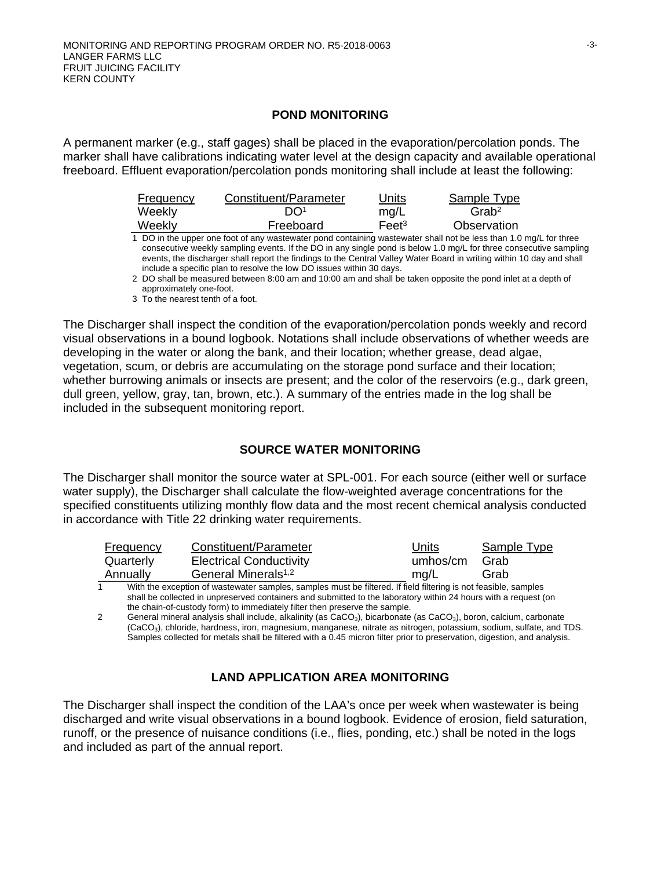## **POND MONITORING**

A permanent marker (e.g., staff gages) shall be placed in the evaporation/percolation ponds. The marker shall have calibrations indicating water level at the design capacity and available operational freeboard. Effluent evaporation/percolation ponds monitoring shall include at least the following:

| <b>Frequency</b> | Constituent/Parameter | Units                        | <b>Sample Type</b>   |
|------------------|-----------------------|------------------------------|----------------------|
| Weekly           | DO <sup>1</sup>       | mq/L                         | $G$ rab <sup>2</sup> |
| Weekly           | Freeboard             | Fe <sub>et<sup>3</sup></sub> | Observation          |
|                  |                       |                              |                      |

1 DO in the upper one foot of any wastewater pond containing wastewater shall not be less than 1.0 mg/L for three consecutive weekly sampling events. If the DO in any single pond is below 1.0 mg/L for three consecutive sampling events, the discharger shall report the findings to the Central Valley Water Board in writing within 10 day and shall include a specific plan to resolve the low DO issues within 30 days.

2 DO shall be measured between 8:00 am and 10:00 am and shall be taken opposite the pond inlet at a depth of approximately one-foot.

3 To the nearest tenth of a foot.

The Discharger shall inspect the condition of the evaporation/percolation ponds weekly and record visual observations in a bound logbook. Notations shall include observations of whether weeds are developing in the water or along the bank, and their location; whether grease, dead algae, vegetation, scum, or debris are accumulating on the storage pond surface and their location; whether burrowing animals or insects are present; and the color of the reservoirs (e.g., dark green, dull green, yellow, gray, tan, brown, etc.). A summary of the entries made in the log shall be included in the subsequent monitoring report.

## **SOURCE WATER MONITORING**

The Discharger shall monitor the source water at SPL-001. For each source (either well or surface water supply), the Discharger shall calculate the flow-weighted average concentrations for the specified constituents utilizing monthly flow data and the most recent chemical analysis conducted in accordance with Title 22 drinking water requirements.

| Frequency | Constituent/Parameter                                                                                        | Units    | Sample Type |
|-----------|--------------------------------------------------------------------------------------------------------------|----------|-------------|
| Quarterly | <b>Electrical Conductivity</b>                                                                               | umhos/cm | Grab        |
| Annually  | General Minerals <sup>1,2</sup>                                                                              | ma/L     | Grab        |
|           | AAPd. des sociales of capitalizacionales considerations of these difficult fliesters to confect the consider |          |             |

1 With the exception of wastewater samples, samples must be filtered. If field filtering is not feasible, samples shall be collected in unpreserved containers and submitted to the laboratory within 24 hours with a request (on the chain-of-custody form) to immediately filter then preserve the sample.

2 General mineral analysis shall include, alkalinity (as CaCO<sub>3</sub>), bicarbonate (as CaCO<sub>3</sub>), boron, calcium, carbonate (CaCO3), chloride, hardness, iron, magnesium, manganese, nitrate as nitrogen, potassium, sodium, sulfate, and TDS. Samples collected for metals shall be filtered with a 0.45 micron filter prior to preservation, digestion, and analysis.

## **LAND APPLICATION AREA MONITORING**

The Discharger shall inspect the condition of the LAA's once per week when wastewater is being discharged and write visual observations in a bound logbook. Evidence of erosion, field saturation, runoff, or the presence of nuisance conditions (i.e., flies, ponding, etc.) shall be noted in the logs and included as part of the annual report.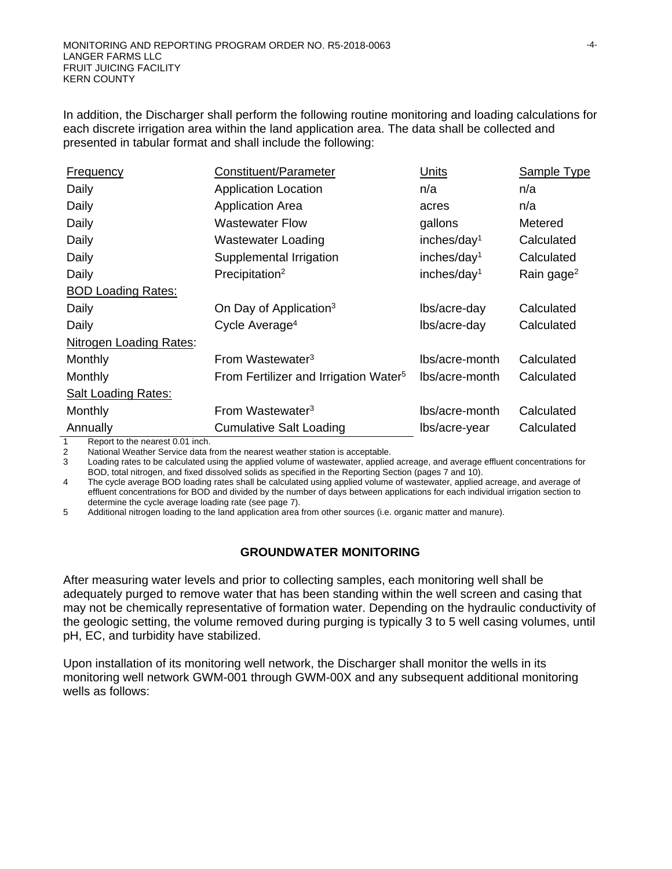In addition, the Discharger shall perform the following routine monitoring and loading calculations for each discrete irrigation area within the land application area. The data shall be collected and presented in tabular format and shall include the following:

| <b>Frequency</b>               | Constituent/Parameter                                 | <b>Units</b>            | <b>Sample Type</b>     |  |
|--------------------------------|-------------------------------------------------------|-------------------------|------------------------|--|
| Daily                          | <b>Application Location</b>                           | n/a                     | n/a                    |  |
| Daily                          | <b>Application Area</b>                               | acres                   | n/a                    |  |
| Daily                          | <b>Wastewater Flow</b>                                | gallons                 | Metered                |  |
| Daily                          | <b>Wastewater Loading</b>                             | inches/day <sup>1</sup> | Calculated             |  |
| Daily                          | Supplemental Irrigation                               | inches/day <sup>1</sup> | Calculated             |  |
| Daily                          | Precipitation <sup>2</sup><br>inches/day <sup>1</sup> |                         | Rain gage <sup>2</sup> |  |
| <b>BOD Loading Rates:</b>      |                                                       |                         |                        |  |
| Daily                          | On Day of Application <sup>3</sup>                    | lbs/acre-day            | Calculated             |  |
| Daily                          | Cycle Average <sup>4</sup>                            | lbs/acre-day            | Calculated             |  |
| <b>Nitrogen Loading Rates:</b> |                                                       |                         |                        |  |
| Monthly                        | From Wastewater <sup>3</sup>                          | lbs/acre-month          | Calculated             |  |
| Monthly                        | From Fertilizer and Irrigation Water <sup>5</sup>     | lbs/acre-month          | Calculated             |  |
| <b>Salt Loading Rates:</b>     |                                                       |                         |                        |  |
| Monthly                        | From Wastewater <sup>3</sup>                          | lbs/acre-month          | Calculated             |  |
| Annually                       | <b>Cumulative Salt Loading</b>                        | lbs/acre-year           | Calculated             |  |

1 Report to the nearest 0.01 inch.<br>2 National Weather Service data f

National Weather Service data from the nearest weather station is acceptable.

3 Loading rates to be calculated using the applied volume of wastewater, applied acreage, and average effluent concentrations for BOD, total nitrogen, and fixed dissolved solids as specified in the Reporting Section (pages 7 and 10).

4 The cycle average BOD loading rates shall be calculated using applied volume of wastewater, applied acreage, and average of effluent concentrations for BOD and divided by the number of days between applications for each individual irrigation section to determine the cycle average loading rate (see page 7).

5 Additional nitrogen loading to the land application area from other sources (i.e. organic matter and manure).

## **GROUNDWATER MONITORING**

After measuring water levels and prior to collecting samples, each monitoring well shall be adequately purged to remove water that has been standing within the well screen and casing that may not be chemically representative of formation water. Depending on the hydraulic conductivity of the geologic setting, the volume removed during purging is typically 3 to 5 well casing volumes, until pH, EC, and turbidity have stabilized.

Upon installation of its monitoring well network, the Discharger shall monitor the wells in its monitoring well network GWM-001 through GWM-00X and any subsequent additional monitoring wells as follows: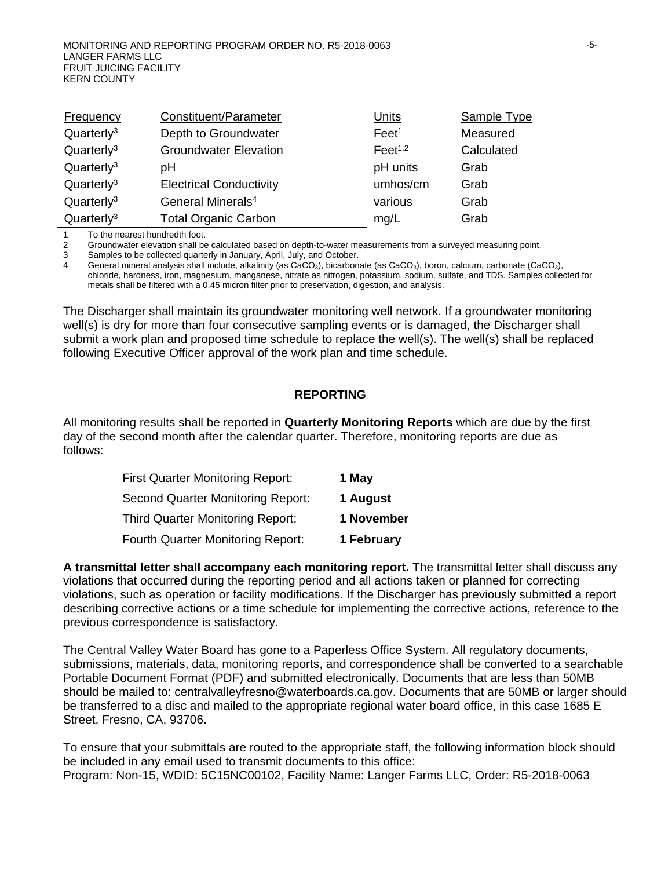| Frequency                           | Constituent/Parameter          | Units               | Sample Type |
|-------------------------------------|--------------------------------|---------------------|-------------|
| Quarterly <sup>3</sup>              | Depth to Groundwater           | Feet <sup>1</sup>   | Measured    |
| Quarter <sub>l</sub> y <sup>3</sup> | <b>Groundwater Elevation</b>   | Feet <sup>1,2</sup> | Calculated  |
| Quarterly <sup>3</sup>              | pН                             | pH units            | Grab        |
| Quarter <sub>l</sub> y <sup>3</sup> | <b>Electrical Conductivity</b> | umhos/cm            | Grab        |
| Quarter <sub>l</sub> y <sup>3</sup> | General Minerals <sup>4</sup>  | various             | Grab        |
| Quarter <sub>l</sub> y <sup>3</sup> | <b>Total Organic Carbon</b>    | mq/L                | Grab        |

1 To the nearest hundredth foot.

2 Groundwater elevation shall be calculated based on depth-to-water measurements from a surveyed measuring point.<br>3 Samples to be collected quarterly in January, April, July, and October.

Samples to be collected quarterly in January, April, July, and October.

4 General mineral analysis shall include, alkalinity (as CaCO<sub>3</sub>), bicarbonate (as CaCO<sub>3</sub>), boron, calcium, carbonate (CaCO<sub>3</sub>), chloride, hardness, iron, magnesium, manganese, nitrate as nitrogen, potassium, sodium, sulfate, and TDS. Samples collected for metals shall be filtered with a 0.45 micron filter prior to preservation, digestion, and analysis.

The Discharger shall maintain its groundwater monitoring well network. If a groundwater monitoring well(s) is dry for more than four consecutive sampling events or is damaged, the Discharger shall submit a work plan and proposed time schedule to replace the well(s). The well(s) shall be replaced following Executive Officer approval of the work plan and time schedule.

#### **REPORTING**

All monitoring results shall be reported in **Quarterly Monitoring Reports** which are due by the first day of the second month after the calendar quarter. Therefore, monitoring reports are due as follows:

| <b>First Quarter Monitoring Report:</b>  | 1 May      |
|------------------------------------------|------------|
| <b>Second Quarter Monitoring Report:</b> | 1 August   |
| <b>Third Quarter Monitoring Report:</b>  | 1 November |
| <b>Fourth Quarter Monitoring Report:</b> | 1 February |

**A transmittal letter shall accompany each monitoring report.** The transmittal letter shall discuss any violations that occurred during the reporting period and all actions taken or planned for correcting violations, such as operation or facility modifications. If the Discharger has previously submitted a report describing corrective actions or a time schedule for implementing the corrective actions, reference to the previous correspondence is satisfactory.

The Central Valley Water Board has gone to a Paperless Office System. All regulatory documents, submissions, materials, data, monitoring reports, and correspondence shall be converted to a searchable Portable Document Format (PDF) and submitted electronically. Documents that are less than 50MB should be mailed to: [centralvalleyfresno@waterboards.ca.gov.](mailto:centralvalleyfresno@waterboards.ca.gov) Documents that are 50MB or larger should be transferred to a disc and mailed to the appropriate regional water board office, in this case 1685 E Street, Fresno, CA, 93706.

To ensure that your submittals are routed to the appropriate staff, the following information block should be included in any email used to transmit documents to this office: Program: Non-15, WDID: 5C15NC00102, Facility Name: Langer Farms LLC, Order: R5-2018-0063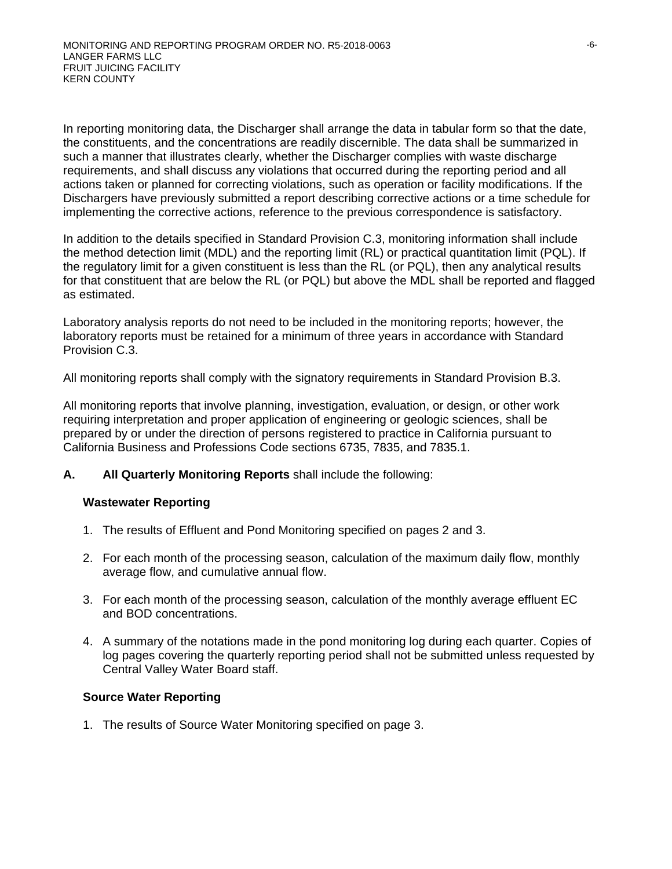In reporting monitoring data, the Discharger shall arrange the data in tabular form so that the date, the constituents, and the concentrations are readily discernible. The data shall be summarized in such a manner that illustrates clearly, whether the Discharger complies with waste discharge requirements, and shall discuss any violations that occurred during the reporting period and all actions taken or planned for correcting violations, such as operation or facility modifications. If the Dischargers have previously submitted a report describing corrective actions or a time schedule for implementing the corrective actions, reference to the previous correspondence is satisfactory.

In addition to the details specified in Standard Provision C.3, monitoring information shall include the method detection limit (MDL) and the reporting limit (RL) or practical quantitation limit (PQL). If the regulatory limit for a given constituent is less than the RL (or PQL), then any analytical results for that constituent that are below the RL (or PQL) but above the MDL shall be reported and flagged as estimated.

Laboratory analysis reports do not need to be included in the monitoring reports; however, the laboratory reports must be retained for a minimum of three years in accordance with Standard Provision C.3.

All monitoring reports shall comply with the signatory requirements in Standard Provision B.3.

All monitoring reports that involve planning, investigation, evaluation, or design, or other work requiring interpretation and proper application of engineering or geologic sciences, shall be prepared by or under the direction of persons registered to practice in California pursuant to California Business and Professions Code sections 6735, 7835, and 7835.1.

**A. All Quarterly Monitoring Reports** shall include the following:

## **Wastewater Reporting**

- 1. The results of Effluent and Pond Monitoring specified on pages 2 and 3.
- 2. For each month of the processing season, calculation of the maximum daily flow, monthly average flow, and cumulative annual flow.
- 3. For each month of the processing season, calculation of the monthly average effluent EC and BOD concentrations.
- 4. A summary of the notations made in the pond monitoring log during each quarter. Copies of log pages covering the quarterly reporting period shall not be submitted unless requested by Central Valley Water Board staff.

## **Source Water Reporting**

1. The results of Source Water Monitoring specified on page 3.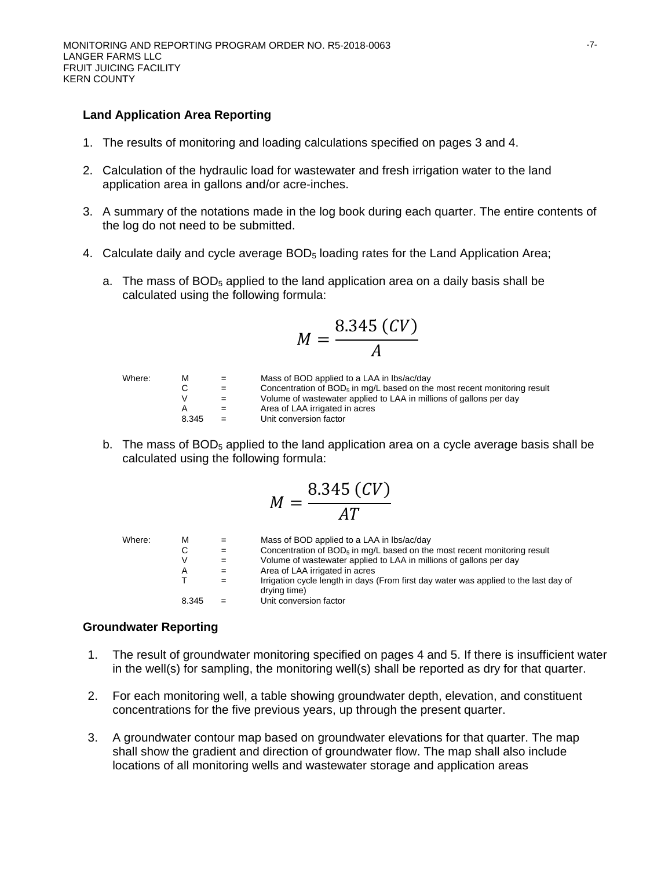#### **Land Application Area Reporting**

- 1. The results of monitoring and loading calculations specified on pages 3 and 4.
- 2. Calculation of the hydraulic load for wastewater and fresh irrigation water to the land application area in gallons and/or acre-inches.
- 3. A summary of the notations made in the log book during each quarter. The entire contents of the log do not need to be submitted.
- 4. Calculate daily and cycle average BOD<sub>5</sub> loading rates for the Land Application Area;
	- a. The mass of  $BOD<sub>5</sub>$  applied to the land application area on a daily basis shall be calculated using the following formula:

$$
M=\frac{8.345\ (CV)}{A}
$$

Where: M  $=$  Mass of BOD applied to a LAA in lbs/ac/day<br>C  $=$  Concentration of BOD<sub>5</sub> in mg/L based on the  $C =$  Concentration of  $BOD_5$  in mg/L based on the most recent monitoring result  $V =$  Volume of wastewater applied to LAA in millions of gallons per day  $V =$  Volume of wastewater applied to LAA in millions of gallons per day<br>A  $=$  Area of LAA irrigated in acres Area of LAA irrigated in acres 8.345 = Unit conversion factor

b. The mass of  $BOD<sub>5</sub>$  applied to the land application area on a cycle average basis shall be calculated using the following formula:

$$
M=\frac{8.345\ (CV)}{AT}
$$

| Where: | м     | $=$ | Mass of BOD applied to a LAA in lbs/ac/day                                                           |
|--------|-------|-----|------------------------------------------------------------------------------------------------------|
|        | С     | $=$ | Concentration of $BOD5$ in mg/L based on the most recent monitoring result                           |
|        | V     | $=$ | Volume of wastewater applied to LAA in millions of gallons per day                                   |
|        | A     | $=$ | Area of LAA irrigated in acres                                                                       |
|        |       | $=$ | Irrigation cycle length in days (From first day water was applied to the last day of<br>drying time) |
|        | 8.345 | $=$ | Unit conversion factor                                                                               |

#### **Groundwater Reporting**

- 1. The result of groundwater monitoring specified on pages 4 and 5. If there is insufficient water in the well(s) for sampling, the monitoring well(s) shall be reported as dry for that quarter.
- 2. For each monitoring well, a table showing groundwater depth, elevation, and constituent concentrations for the five previous years, up through the present quarter.
- 3. A groundwater contour map based on groundwater elevations for that quarter. The map shall show the gradient and direction of groundwater flow. The map shall also include locations of all monitoring wells and wastewater storage and application areas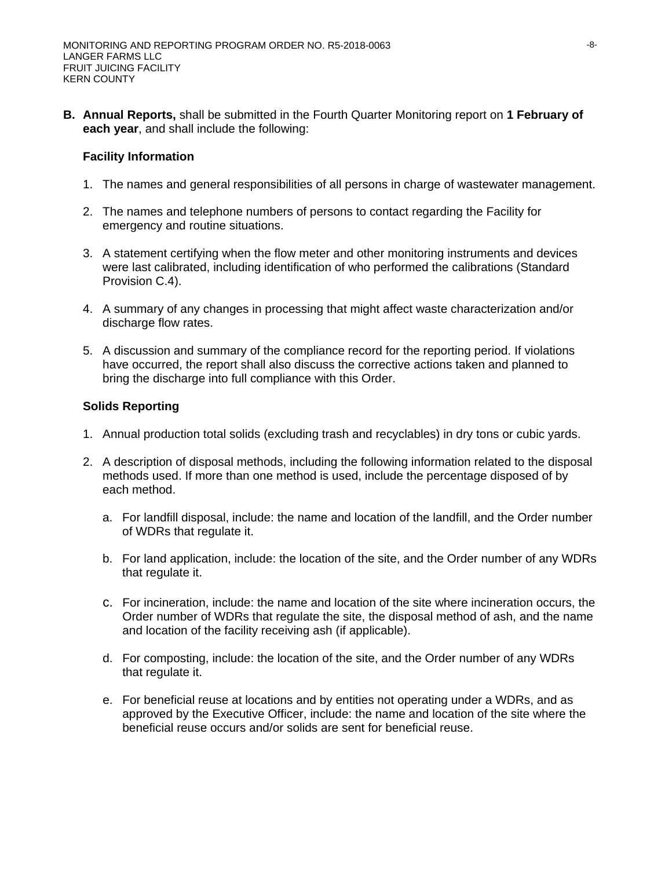**B. Annual Reports,** shall be submitted in the Fourth Quarter Monitoring report on **1 February of each year**, and shall include the following:

## **Facility Information**

- 1. The names and general responsibilities of all persons in charge of wastewater management.
- 2. The names and telephone numbers of persons to contact regarding the Facility for emergency and routine situations.
- 3. A statement certifying when the flow meter and other monitoring instruments and devices were last calibrated, including identification of who performed the calibrations (Standard Provision C.4).
- 4. A summary of any changes in processing that might affect waste characterization and/or discharge flow rates.
- 5. A discussion and summary of the compliance record for the reporting period. If violations have occurred, the report shall also discuss the corrective actions taken and planned to bring the discharge into full compliance with this Order.

## **Solids Reporting**

- 1. Annual production total solids (excluding trash and recyclables) in dry tons or cubic yards.
- 2. A description of disposal methods, including the following information related to the disposal methods used. If more than one method is used, include the percentage disposed of by each method.
	- a. For landfill disposal, include: the name and location of the landfill, and the Order number of WDRs that regulate it.
	- b. For land application, include: the location of the site, and the Order number of any WDRs that regulate it.
	- c. For incineration, include: the name and location of the site where incineration occurs, the Order number of WDRs that regulate the site, the disposal method of ash, and the name and location of the facility receiving ash (if applicable).
	- d. For composting, include: the location of the site, and the Order number of any WDRs that regulate it.
	- e. For beneficial reuse at locations and by entities not operating under a WDRs, and as approved by the Executive Officer, include: the name and location of the site where the beneficial reuse occurs and/or solids are sent for beneficial reuse.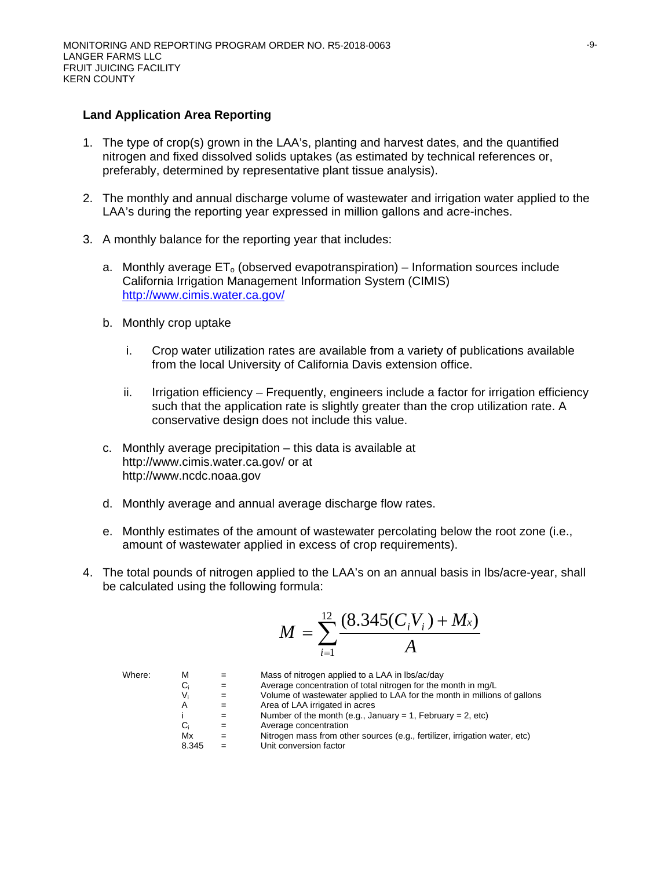#### **Land Application Area Reporting**

- 1. The type of crop(s) grown in the LAA's, planting and harvest dates, and the quantified nitrogen and fixed dissolved solids uptakes (as estimated by technical references or, preferably, determined by representative plant tissue analysis).
- 2. The monthly and annual discharge volume of wastewater and irrigation water applied to the LAA's during the reporting year expressed in million gallons and acre-inches.
- 3. A monthly balance for the reporting year that includes:
	- a. Monthly average  $ET_0$  (observed evapotranspiration) Information sources include California Irrigation Management Information System (CIMIS) http://www.cimis.water.ca.gov/
	- b. Monthly crop uptake
		- i. Crop water utilization rates are available from a variety of publications available from the local University of California Davis extension office.
		- ii. Irrigation efficiency Frequently, engineers include a factor for irrigation efficiency such that the application rate is slightly greater than the crop utilization rate. A conservative design does not include this value.
	- c. Monthly average precipitation this data is available at http://www.cimis.water.ca.gov/ or at http://www.ncdc.noaa.gov
	- d. Monthly average and annual average discharge flow rates.
	- e. Monthly estimates of the amount of wastewater percolating below the root zone (i.e., amount of wastewater applied in excess of crop requirements).
- 4. The total pounds of nitrogen applied to the LAA's on an annual basis in lbs/acre-year, shall be calculated using the following formula:

$$
M = \sum_{i=1}^{12} \frac{(8.345(C_i V_i) + M_x)}{A}
$$

| Where: | м     | $=$ | Mass of nitrogen applied to a LAA in lbs/ac/day                            |
|--------|-------|-----|----------------------------------------------------------------------------|
|        | C,    | $=$ | Average concentration of total nitrogen for the month in mg/L              |
|        | V.    | $=$ | Volume of wastewater applied to LAA for the month in millions of gallons   |
|        | A     | $=$ | Area of LAA irrigated in acres                                             |
|        |       | $=$ | Number of the month (e.g., January = 1, February = 2, etc)                 |
|        | C,    | $=$ | Average concentration                                                      |
|        | Mx    | $=$ | Nitrogen mass from other sources (e.g., fertilizer, irrigation water, etc) |
|        | 8.345 |     | Unit conversion factor                                                     |
|        |       |     |                                                                            |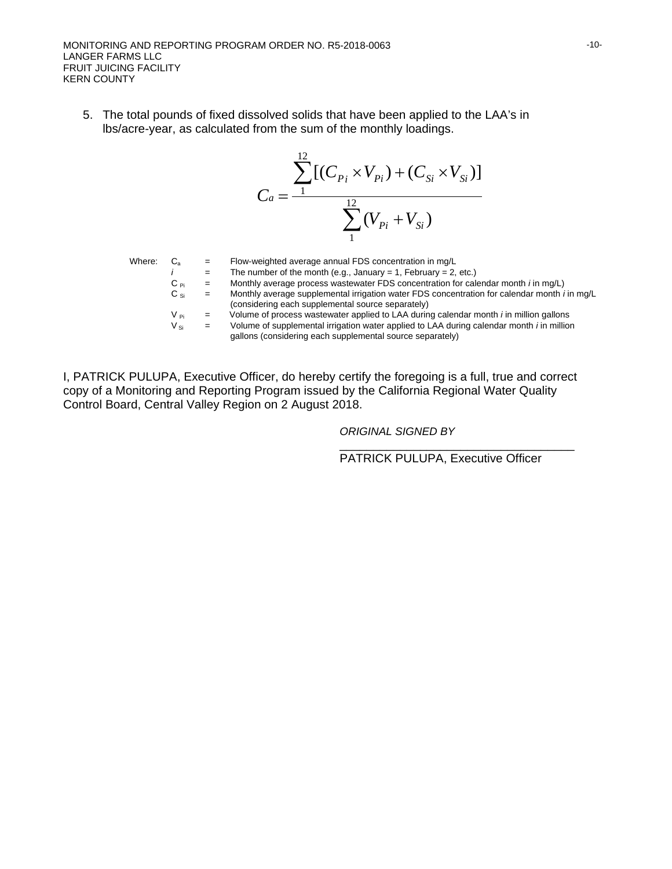MONITORING AND REPORTING PROGRAM ORDER NO. R5-2018-0063 LANGER FARMS LLC FRUIT JUICING FACILITY KERN COUNTY

5. The total pounds of fixed dissolved solids that have been applied to the LAA's in lbs/acre-year, as calculated from the sum of the monthly loadings.

$$
C_a = \frac{\sum_{1}^{12} [(C_{P_i} \times V_{P_i}) + (C_{Si} \times V_{Si})]}{\sum_{1}^{12} (V_{P_i} + V_{Si})}
$$

| Where: |                    |     | Flow-weighted average annual FDS concentration in mg/L                                                                                                        |
|--------|--------------------|-----|---------------------------------------------------------------------------------------------------------------------------------------------------------------|
|        |                    | $=$ | The number of the month (e.g., January = 1, February = 2, etc.)                                                                                               |
|        | $C_{\text{Pi}}$    |     | Monthly average process wastewater FDS concentration for calendar month <i>i</i> in mg/L)                                                                     |
|        | $\rm C_{\,\rm Si}$ | $=$ | Monthly average supplemental irrigation water FDS concentration for calendar month <i>i</i> in mg/L<br>(considering each supplemental source separately)      |
|        | V pi               |     | Volume of process wastewater applied to LAA during calendar month <i>i</i> in million gallons                                                                 |
|        | $V_{\text{Si}}$    |     | Volume of supplemental irrigation water applied to LAA during calendar month <i>i</i> in million<br>gallons (considering each supplemental source separately) |

I, PATRICK PULUPA, Executive Officer, do hereby certify the foregoing is a full, true and correct copy of a Monitoring and Reporting Program issued by the California Regional Water Quality Control Board, Central Valley Region on 2 August 2018.

*ORIGINAL SIGNED BY*

\_\_\_\_\_\_\_\_\_\_\_\_\_\_\_\_\_\_\_\_\_\_\_\_\_\_\_\_\_\_\_\_\_\_\_ PATRICK PULUPA, Executive Officer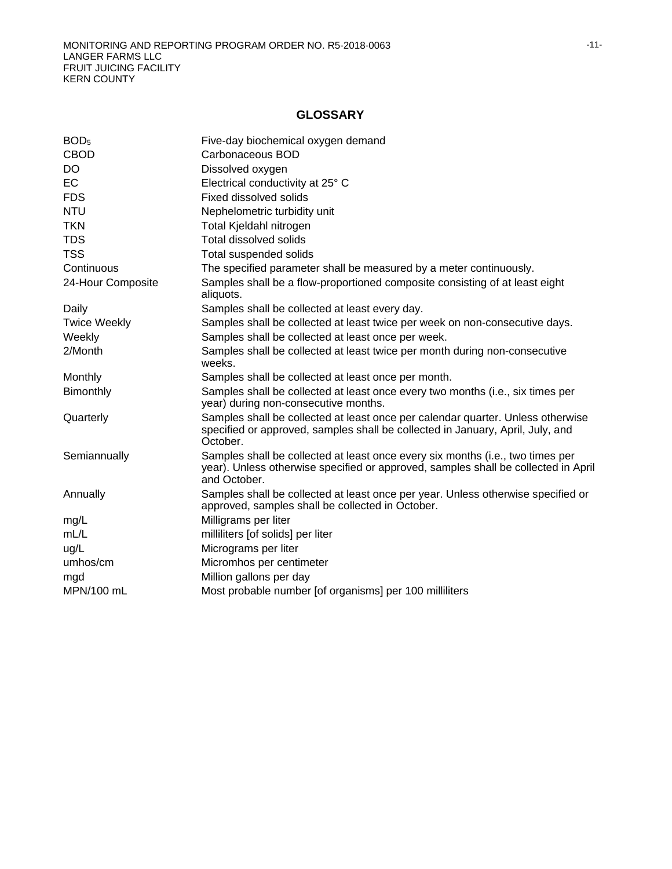# **GLOSSARY**

| BOD <sub>5</sub>    | Five-day biochemical oxygen demand                                                                                                                                                   |
|---------------------|--------------------------------------------------------------------------------------------------------------------------------------------------------------------------------------|
| <b>CBOD</b>         | Carbonaceous BOD                                                                                                                                                                     |
| DO                  | Dissolved oxygen                                                                                                                                                                     |
| EC                  | Electrical conductivity at 25° C                                                                                                                                                     |
| <b>FDS</b>          | Fixed dissolved solids                                                                                                                                                               |
| <b>NTU</b>          | Nephelometric turbidity unit                                                                                                                                                         |
| <b>TKN</b>          | Total Kjeldahl nitrogen                                                                                                                                                              |
| <b>TDS</b>          | Total dissolved solids                                                                                                                                                               |
| <b>TSS</b>          | Total suspended solids                                                                                                                                                               |
| Continuous          | The specified parameter shall be measured by a meter continuously.                                                                                                                   |
| 24-Hour Composite   | Samples shall be a flow-proportioned composite consisting of at least eight<br>aliquots.                                                                                             |
| Daily               | Samples shall be collected at least every day.                                                                                                                                       |
| <b>Twice Weekly</b> | Samples shall be collected at least twice per week on non-consecutive days.                                                                                                          |
| Weekly              | Samples shall be collected at least once per week.                                                                                                                                   |
| 2/Month             | Samples shall be collected at least twice per month during non-consecutive<br>weeks.                                                                                                 |
| Monthly             | Samples shall be collected at least once per month.                                                                                                                                  |
| <b>Bimonthly</b>    | Samples shall be collected at least once every two months (i.e., six times per<br>year) during non-consecutive months.                                                               |
| Quarterly           | Samples shall be collected at least once per calendar quarter. Unless otherwise<br>specified or approved, samples shall be collected in January, April, July, and<br>October.        |
| Semiannually        | Samples shall be collected at least once every six months (i.e., two times per<br>year). Unless otherwise specified or approved, samples shall be collected in April<br>and October. |
| Annually            | Samples shall be collected at least once per year. Unless otherwise specified or<br>approved, samples shall be collected in October.                                                 |
| mg/L                | Milligrams per liter                                                                                                                                                                 |
| mL/L                | milliliters [of solids] per liter                                                                                                                                                    |
| ug/L                | Micrograms per liter                                                                                                                                                                 |
| umhos/cm            | Micromhos per centimeter                                                                                                                                                             |
| mgd                 | Million gallons per day                                                                                                                                                              |
| MPN/100 mL          | Most probable number [of organisms] per 100 milliliters                                                                                                                              |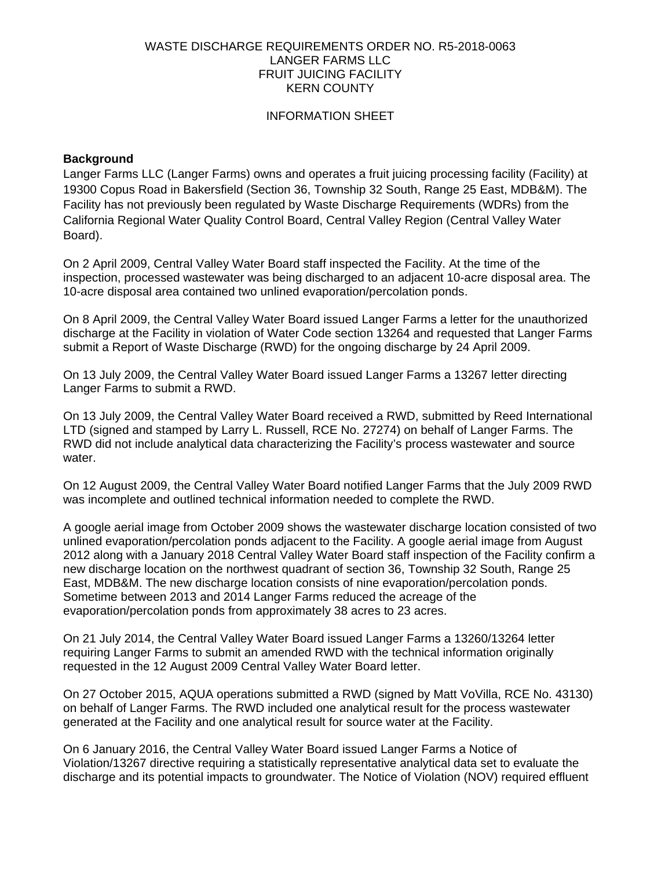## WASTE DISCHARGE REQUIREMENTS ORDER NO. R5-2018-0063 LANGER FARMS LLC FRUIT JUICING FACILITY KERN COUNTY

## INFORMATION SHEET

## **Background**

Langer Farms LLC (Langer Farms) owns and operates a fruit juicing processing facility (Facility) at 19300 Copus Road in Bakersfield (Section 36, Township 32 South, Range 25 East, MDB&M). The Facility has not previously been regulated by Waste Discharge Requirements (WDRs) from the California Regional Water Quality Control Board, Central Valley Region (Central Valley Water Board).

On 2 April 2009, Central Valley Water Board staff inspected the Facility. At the time of the inspection, processed wastewater was being discharged to an adjacent 10-acre disposal area. The 10-acre disposal area contained two unlined evaporation/percolation ponds.

On 8 April 2009, the Central Valley Water Board issued Langer Farms a letter for the unauthorized discharge at the Facility in violation of Water Code section 13264 and requested that Langer Farms submit a Report of Waste Discharge (RWD) for the ongoing discharge by 24 April 2009.

On 13 July 2009, the Central Valley Water Board issued Langer Farms a 13267 letter directing Langer Farms to submit a RWD.

On 13 July 2009, the Central Valley Water Board received a RWD, submitted by Reed International LTD (signed and stamped by Larry L. Russell, RCE No. 27274) on behalf of Langer Farms. The RWD did not include analytical data characterizing the Facility's process wastewater and source water.

On 12 August 2009, the Central Valley Water Board notified Langer Farms that the July 2009 RWD was incomplete and outlined technical information needed to complete the RWD.

A google aerial image from October 2009 shows the wastewater discharge location consisted of two unlined evaporation/percolation ponds adjacent to the Facility. A google aerial image from August 2012 along with a January 2018 Central Valley Water Board staff inspection of the Facility confirm a new discharge location on the northwest quadrant of section 36, Township 32 South, Range 25 East, MDB&M. The new discharge location consists of nine evaporation/percolation ponds. Sometime between 2013 and 2014 Langer Farms reduced the acreage of the evaporation/percolation ponds from approximately 38 acres to 23 acres.

On 21 July 2014, the Central Valley Water Board issued Langer Farms a 13260/13264 letter requiring Langer Farms to submit an amended RWD with the technical information originally requested in the 12 August 2009 Central Valley Water Board letter.

On 27 October 2015, AQUA operations submitted a RWD (signed by Matt VoVilla, RCE No. 43130) on behalf of Langer Farms. The RWD included one analytical result for the process wastewater generated at the Facility and one analytical result for source water at the Facility.

On 6 January 2016, the Central Valley Water Board issued Langer Farms a Notice of Violation/13267 directive requiring a statistically representative analytical data set to evaluate the discharge and its potential impacts to groundwater. The Notice of Violation (NOV) required effluent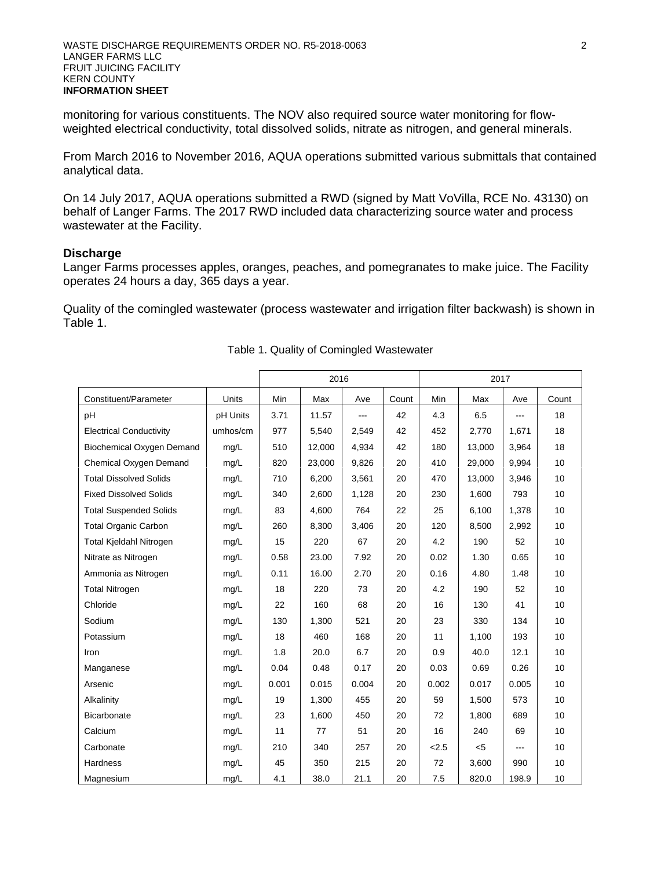monitoring for various constituents. The NOV also required source water monitoring for flowweighted electrical conductivity, total dissolved solids, nitrate as nitrogen, and general minerals.

From March 2016 to November 2016, AQUA operations submitted various submittals that contained analytical data.

On 14 July 2017, AQUA operations submitted a RWD (signed by Matt VoVilla, RCE No. 43130) on behalf of Langer Farms. The 2017 RWD included data characterizing source water and process wastewater at the Facility.

## **Discharge**

Langer Farms processes apples, oranges, peaches, and pomegranates to make juice. The Facility operates 24 hours a day, 365 days a year.

Quality of the comingled wastewater (process wastewater and irrigation filter backwash) is shown in Table 1.

|                                |          | 2016  |        |                |       | 2017  |        |       |       |
|--------------------------------|----------|-------|--------|----------------|-------|-------|--------|-------|-------|
| Constituent/Parameter          | Units    | Min   | Max    | Ave            | Count | Min   | Max    | Ave   | Count |
| pH                             | pH Units | 3.71  | 11.57  | $\overline{a}$ | 42    | 4.3   | 6.5    | ---   | 18    |
| <b>Electrical Conductivity</b> | umhos/cm | 977   | 5,540  | 2,549          | 42    | 452   | 2,770  | 1,671 | 18    |
| Biochemical Oxygen Demand      | mq/L     | 510   | 12,000 | 4,934          | 42    | 180   | 13,000 | 3,964 | 18    |
| Chemical Oxygen Demand         | mq/L     | 820   | 23,000 | 9,826          | 20    | 410   | 29,000 | 9,994 | 10    |
| <b>Total Dissolved Solids</b>  | mq/L     | 710   | 6,200  | 3,561          | 20    | 470   | 13,000 | 3,946 | 10    |
| <b>Fixed Dissolved Solids</b>  | mg/L     | 340   | 2,600  | 1,128          | 20    | 230   | 1,600  | 793   | 10    |
| <b>Total Suspended Solids</b>  | mg/L     | 83    | 4,600  | 764            | 22    | 25    | 6,100  | 1,378 | 10    |
| <b>Total Organic Carbon</b>    | mg/L     | 260   | 8,300  | 3,406          | 20    | 120   | 8,500  | 2,992 | 10    |
| Total Kjeldahl Nitrogen        | mg/L     | 15    | 220    | 67             | 20    | 4.2   | 190    | 52    | 10    |
| Nitrate as Nitrogen            | mg/L     | 0.58  | 23.00  | 7.92           | 20    | 0.02  | 1.30   | 0.65  | 10    |
| Ammonia as Nitrogen            | mg/L     | 0.11  | 16.00  | 2.70           | 20    | 0.16  | 4.80   | 1.48  | 10    |
| <b>Total Nitrogen</b>          | mg/L     | 18    | 220    | 73             | 20    | 4.2   | 190    | 52    | 10    |
| Chloride                       | mg/L     | 22    | 160    | 68             | 20    | 16    | 130    | 41    | 10    |
| Sodium                         | mg/L     | 130   | 1,300  | 521            | 20    | 23    | 330    | 134   | 10    |
| Potassium                      | mg/L     | 18    | 460    | 168            | 20    | 11    | 1,100  | 193   | 10    |
| Iron                           | mg/L     | 1.8   | 20.0   | 6.7            | 20    | 0.9   | 40.0   | 12.1  | 10    |
| Manganese                      | mg/L     | 0.04  | 0.48   | 0.17           | 20    | 0.03  | 0.69   | 0.26  | 10    |
| Arsenic                        | mq/L     | 0.001 | 0.015  | 0.004          | 20    | 0.002 | 0.017  | 0.005 | 10    |
| Alkalinity                     | mg/L     | 19    | 1,300  | 455            | 20    | 59    | 1,500  | 573   | 10    |
| <b>Bicarbonate</b>             | mg/L     | 23    | 1,600  | 450            | 20    | 72    | 1,800  | 689   | 10    |
| Calcium                        | mg/L     | 11    | 77     | 51             | 20    | 16    | 240    | 69    | 10    |
| Carbonate                      | mg/L     | 210   | 340    | 257            | 20    | 2.5   | $<$ 5  | ---   | 10    |
| Hardness                       | mg/L     | 45    | 350    | 215            | 20    | 72    | 3,600  | 990   | 10    |
| Magnesium                      | mg/L     | 4.1   | 38.0   | 21.1           | 20    | 7.5   | 820.0  | 198.9 | 10    |

#### Table 1. Quality of Comingled Wastewater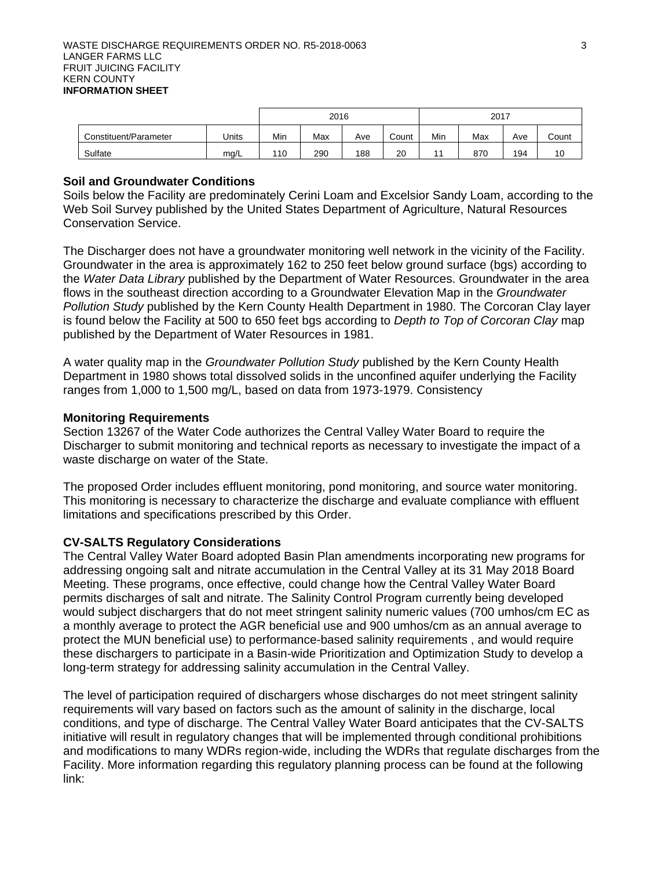|                       | 2016  |     |     | 2017 |       |     |     |     |       |
|-----------------------|-------|-----|-----|------|-------|-----|-----|-----|-------|
| Constituent/Parameter | Units | Min | Max | Ave  | Count | Min | Max | Ave | Count |
| Sulfate               | ma/L  | 110 | 290 | 188  | 20    |     | 870 | 194 | 10    |

## **Soil and Groundwater Conditions**

Soils below the Facility are predominately Cerini Loam and Excelsior Sandy Loam, according to the Web Soil Survey published by the United States Department of Agriculture, Natural Resources Conservation Service.

The Discharger does not have a groundwater monitoring well network in the vicinity of the Facility. Groundwater in the area is approximately 162 to 250 feet below ground surface (bgs) according to the *Water Data Library* published by the Department of Water Resources. Groundwater in the area flows in the southeast direction according to a Groundwater Elevation Map in the *Groundwater Pollution Study* published by the Kern County Health Department in 1980. The Corcoran Clay layer is found below the Facility at 500 to 650 feet bgs according to *Depth to Top of Corcoran Clay* map published by the Department of Water Resources in 1981.

A water quality map in the *Groundwater Pollution Study* published by the Kern County Health Department in 1980 shows total dissolved solids in the unconfined aquifer underlying the Facility ranges from 1,000 to 1,500 mg/L, based on data from 1973-1979. Consistency

## **Monitoring Requirements**

Section 13267 of the Water Code authorizes the Central Valley Water Board to require the Discharger to submit monitoring and technical reports as necessary to investigate the impact of a waste discharge on water of the State.

The proposed Order includes effluent monitoring, pond monitoring, and source water monitoring. This monitoring is necessary to characterize the discharge and evaluate compliance with effluent limitations and specifications prescribed by this Order.

## **CV-SALTS Regulatory Considerations**

The Central Valley Water Board adopted Basin Plan amendments incorporating new programs for addressing ongoing salt and nitrate accumulation in the Central Valley at its 31 May 2018 Board Meeting. These programs, once effective, could change how the Central Valley Water Board permits discharges of salt and nitrate. The Salinity Control Program currently being developed would subject dischargers that do not meet stringent salinity numeric values (700 umhos/cm EC as a monthly average to protect the AGR beneficial use and 900 umhos/cm as an annual average to protect the MUN beneficial use) to performance-based salinity requirements , and would require these dischargers to participate in a Basin-wide Prioritization and Optimization Study to develop a long-term strategy for addressing salinity accumulation in the Central Valley.

The level of participation required of dischargers whose discharges do not meet stringent salinity requirements will vary based on factors such as the amount of salinity in the discharge, local conditions, and type of discharge. The Central Valley Water Board anticipates that the CV-SALTS initiative will result in regulatory changes that will be implemented through conditional prohibitions and modifications to many WDRs region-wide, including the WDRs that regulate discharges from the Facility. More information regarding this regulatory planning process can be found at the following link: